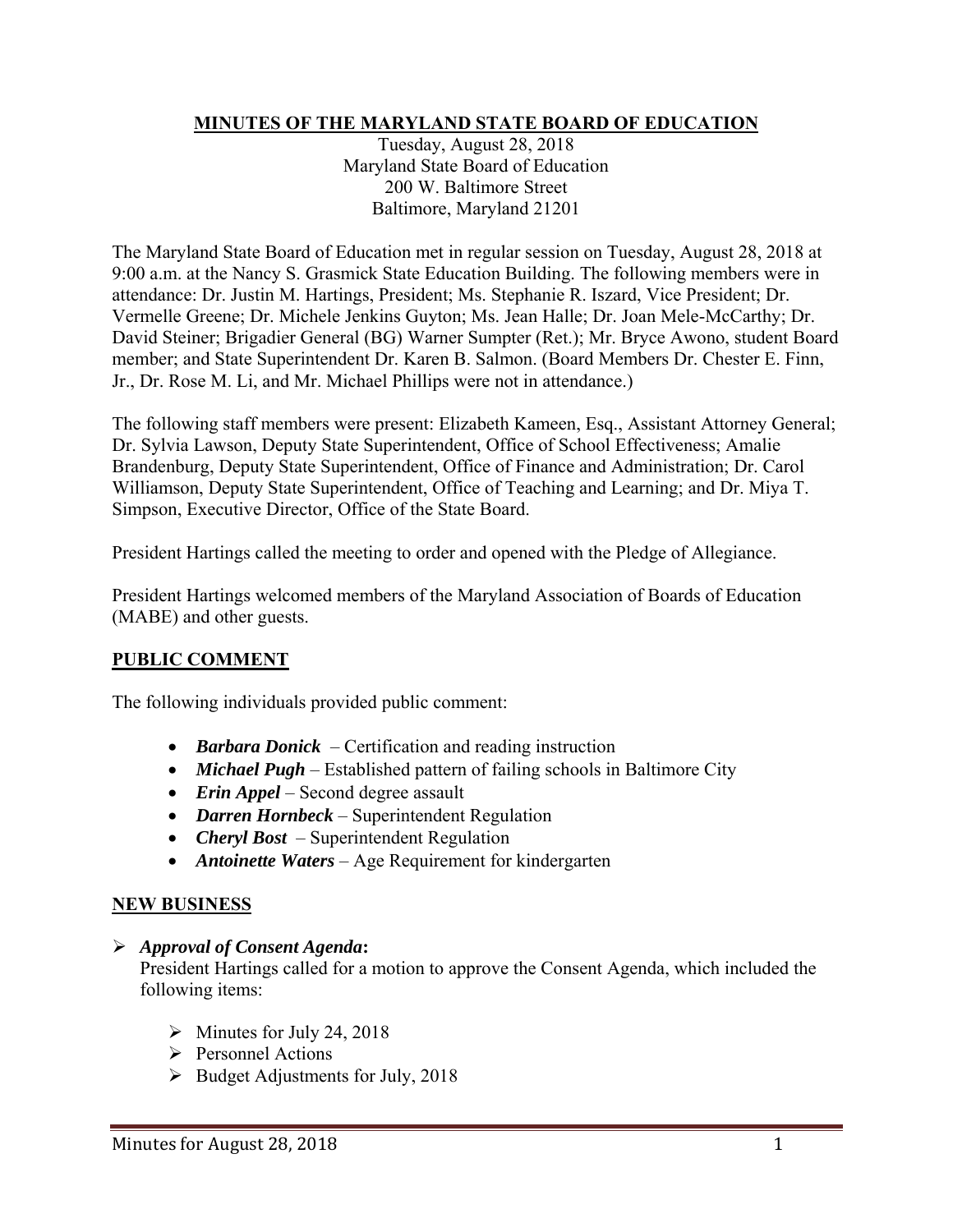## **MINUTES OF THE MARYLAND STATE BOARD OF EDUCATION**

Tuesday, August 28, 2018 Maryland State Board of Education 200 W. Baltimore Street Baltimore, Maryland 21201

The Maryland State Board of Education met in regular session on Tuesday, August 28, 2018 at 9:00 a.m. at the Nancy S. Grasmick State Education Building. The following members were in attendance: Dr. Justin M. Hartings, President; Ms. Stephanie R. Iszard, Vice President; Dr. Vermelle Greene; Dr. Michele Jenkins Guyton; Ms. Jean Halle; Dr. Joan Mele-McCarthy; Dr. David Steiner; Brigadier General (BG) Warner Sumpter (Ret.); Mr. Bryce Awono, student Board member; and State Superintendent Dr. Karen B. Salmon. (Board Members Dr. Chester E. Finn, Jr., Dr. Rose M. Li, and Mr. Michael Phillips were not in attendance.)

The following staff members were present: Elizabeth Kameen, Esq., Assistant Attorney General; Dr. Sylvia Lawson, Deputy State Superintendent, Office of School Effectiveness; Amalie Brandenburg, Deputy State Superintendent, Office of Finance and Administration; Dr. Carol Williamson, Deputy State Superintendent, Office of Teaching and Learning; and Dr. Miya T. Simpson, Executive Director, Office of the State Board.

President Hartings called the meeting to order and opened with the Pledge of Allegiance.

President Hartings welcomed members of the Maryland Association of Boards of Education (MABE) and other guests.

## **PUBLIC COMMENT**

The following individuals provided public comment:

- *Barbara Donick*  Certification and reading instruction
- *Michael Pugh* Established pattern of failing schools in Baltimore City
- *Erin Appel* Second degree assault
- *Darren Hornbeck* Superintendent Regulation
- *Cheryl Bost*  Superintendent Regulation
- *Antoinette Waters* Age Requirement for kindergarten

#### **NEW BUSINESS**

#### *Approval of Consent Agenda***:**

President Hartings called for a motion to approve the Consent Agenda, which included the following items:

- $\triangleright$  Minutes for July 24, 2018
- $\triangleright$  Personnel Actions
- $\triangleright$  Budget Adjustments for July, 2018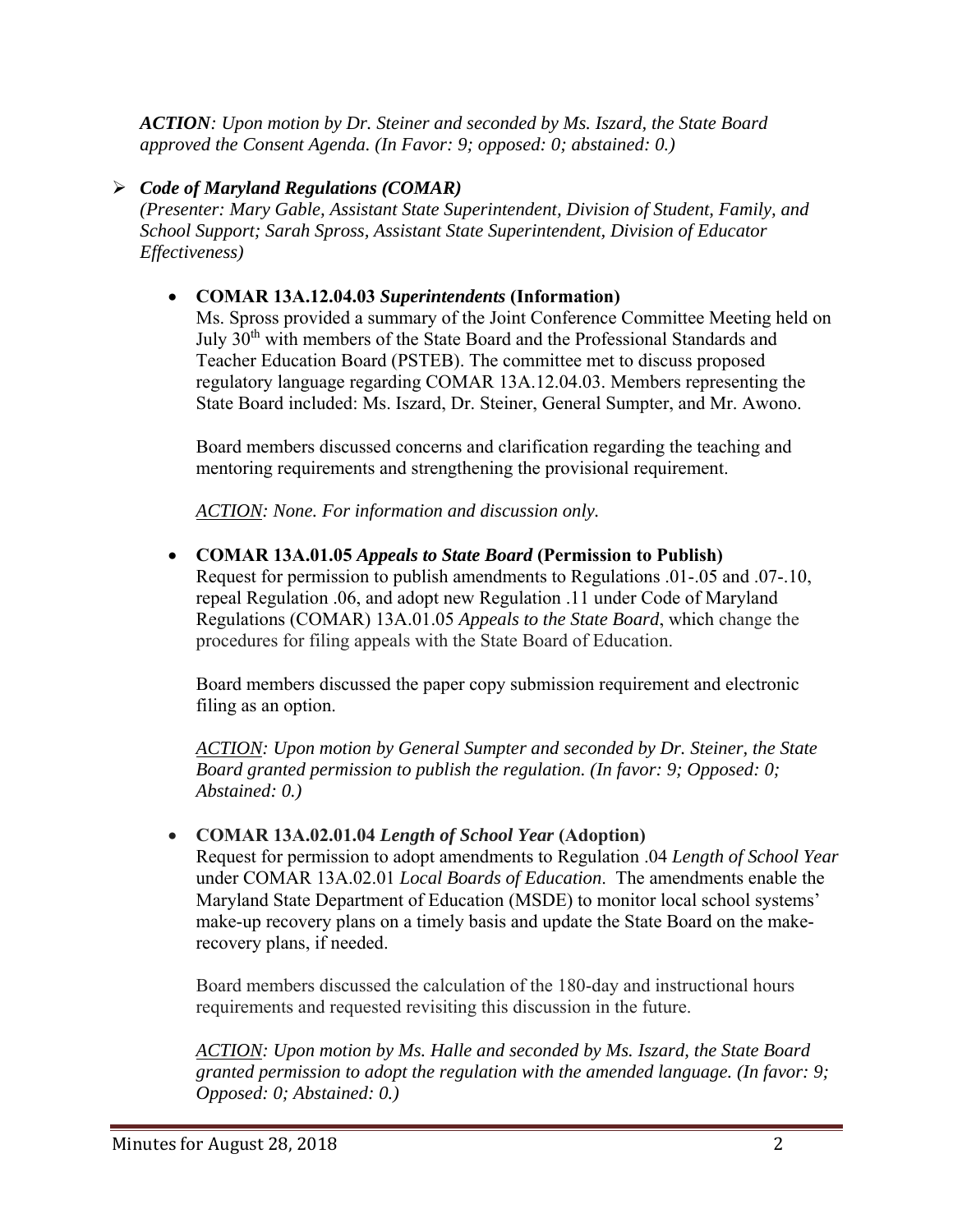*ACTION: Upon motion by Dr. Steiner and seconded by Ms. Iszard, the State Board approved the Consent Agenda. (In Favor: 9; opposed: 0; abstained: 0.)* 

# *Code of Maryland Regulations (COMAR)*

*(Presenter: Mary Gable, Assistant State Superintendent, Division of Student, Family, and School Support; Sarah Spross, Assistant State Superintendent, Division of Educator Effectiveness)* 

# **COMAR 13A.12.04.03** *Superintendents* **(Information)**

Ms. Spross provided a summary of the Joint Conference Committee Meeting held on July 30<sup>th</sup> with members of the State Board and the Professional Standards and Teacher Education Board (PSTEB). The committee met to discuss proposed regulatory language regarding COMAR 13A.12.04.03. Members representing the State Board included: Ms. Iszard, Dr. Steiner, General Sumpter, and Mr. Awono.

Board members discussed concerns and clarification regarding the teaching and mentoring requirements and strengthening the provisional requirement.

*ACTION: None. For information and discussion only.* 

 **COMAR 13A.01.05** *Appeals to State Board* **(Permission to Publish)** Request for permission to publish amendments to Regulations .01-.05 and .07-.10, repeal Regulation .06, and adopt new Regulation .11 under Code of Maryland Regulations (COMAR) 13A.01.05 *Appeals to the State Board*, which change the procedures for filing appeals with the State Board of Education.

Board members discussed the paper copy submission requirement and electronic filing as an option.

*ACTION: Upon motion by General Sumpter and seconded by Dr. Steiner, the State Board granted permission to publish the regulation. (In favor: 9; Opposed: 0; Abstained: 0.)* 

## **COMAR 13A.02.01.04** *Length of School Year* **(Adoption)**

Request for permission to adopt amendments to Regulation .04 *Length of School Year* under COMAR 13A.02.01 *Local Boards of Education*. The amendments enable the Maryland State Department of Education (MSDE) to monitor local school systems' make-up recovery plans on a timely basis and update the State Board on the makerecovery plans, if needed.

Board members discussed the calculation of the 180-day and instructional hours requirements and requested revisiting this discussion in the future.

*ACTION: Upon motion by Ms. Halle and seconded by Ms. Iszard, the State Board granted permission to adopt the regulation with the amended language. (In favor: 9; Opposed: 0; Abstained: 0.)*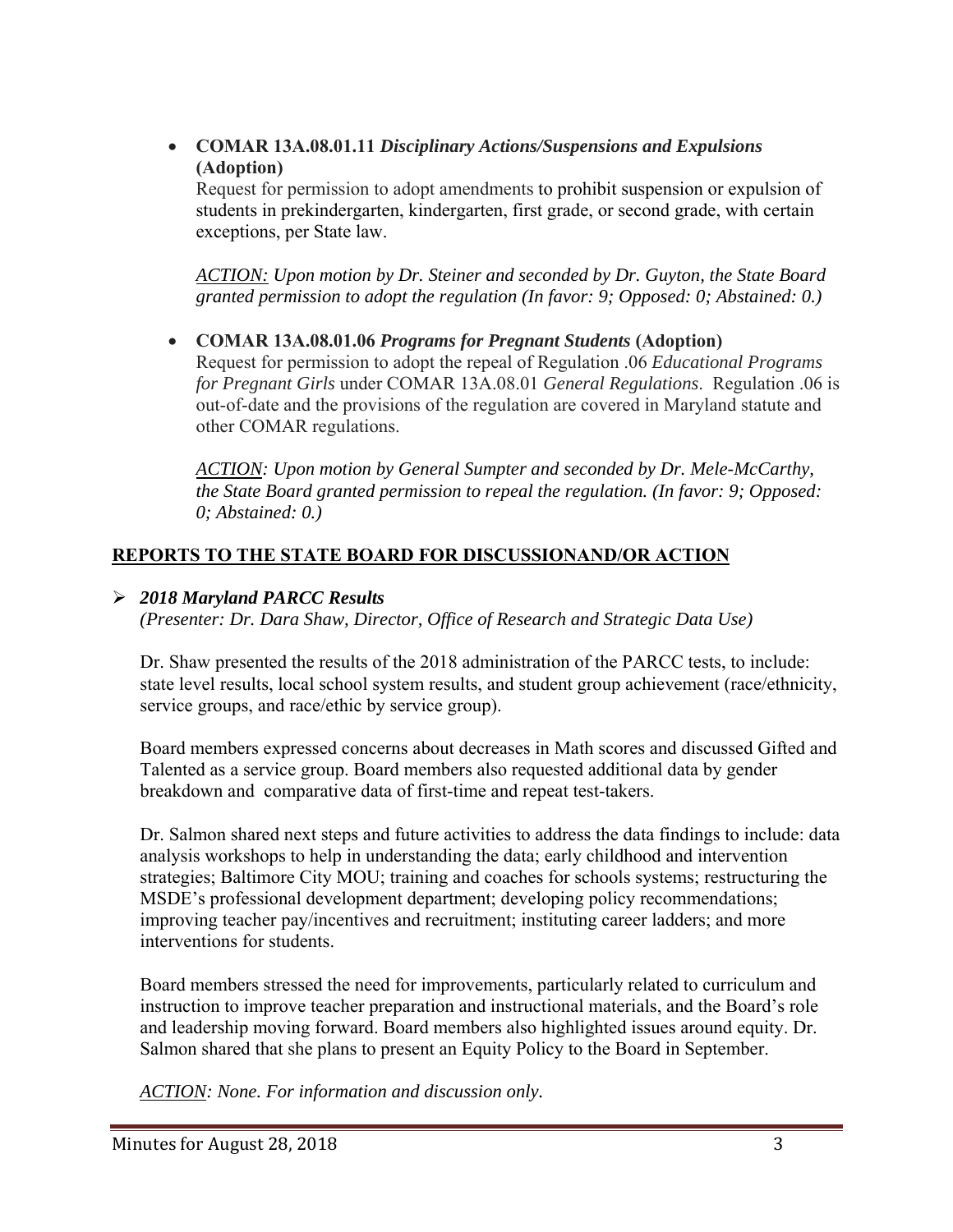**COMAR 13A.08.01.11** *Disciplinary Actions/Suspensions and Expulsions*  **(Adoption)**

Request for permission to adopt amendments to prohibit suspension or expulsion of students in prekindergarten, kindergarten, first grade, or second grade, with certain exceptions, per State law.

*ACTION: Upon motion by Dr. Steiner and seconded by Dr. Guyton, the State Board granted permission to adopt the regulation (In favor: 9; Opposed: 0; Abstained: 0.)* 

 **COMAR 13A.08.01.06** *Programs for Pregnant Students* **(Adoption)**  Request for permission to adopt the repeal of Regulation .06 *Educational Programs for Pregnant Girls* under COMAR 13A.08.01 *General Regulations*. Regulation .06 is out-of-date and the provisions of the regulation are covered in Maryland statute and other COMAR regulations.

*ACTION: Upon motion by General Sumpter and seconded by Dr. Mele-McCarthy, the State Board granted permission to repeal the regulation. (In favor: 9; Opposed: 0; Abstained: 0.)* 

# **REPORTS TO THE STATE BOARD FOR DISCUSSIONAND/OR ACTION**

# *2018 Maryland PARCC Results*

*(Presenter: Dr. Dara Shaw, Director, Office of Research and Strategic Data Use)* 

Dr. Shaw presented the results of the 2018 administration of the PARCC tests, to include: state level results, local school system results, and student group achievement (race/ethnicity, service groups, and race/ethic by service group).

Board members expressed concerns about decreases in Math scores and discussed Gifted and Talented as a service group. Board members also requested additional data by gender breakdown and comparative data of first-time and repeat test-takers.

Dr. Salmon shared next steps and future activities to address the data findings to include: data analysis workshops to help in understanding the data; early childhood and intervention strategies; Baltimore City MOU; training and coaches for schools systems; restructuring the MSDE's professional development department; developing policy recommendations; improving teacher pay/incentives and recruitment; instituting career ladders; and more interventions for students.

Board members stressed the need for improvements, particularly related to curriculum and instruction to improve teacher preparation and instructional materials, and the Board's role and leadership moving forward. Board members also highlighted issues around equity. Dr. Salmon shared that she plans to present an Equity Policy to the Board in September.

*ACTION: None. For information and discussion only.*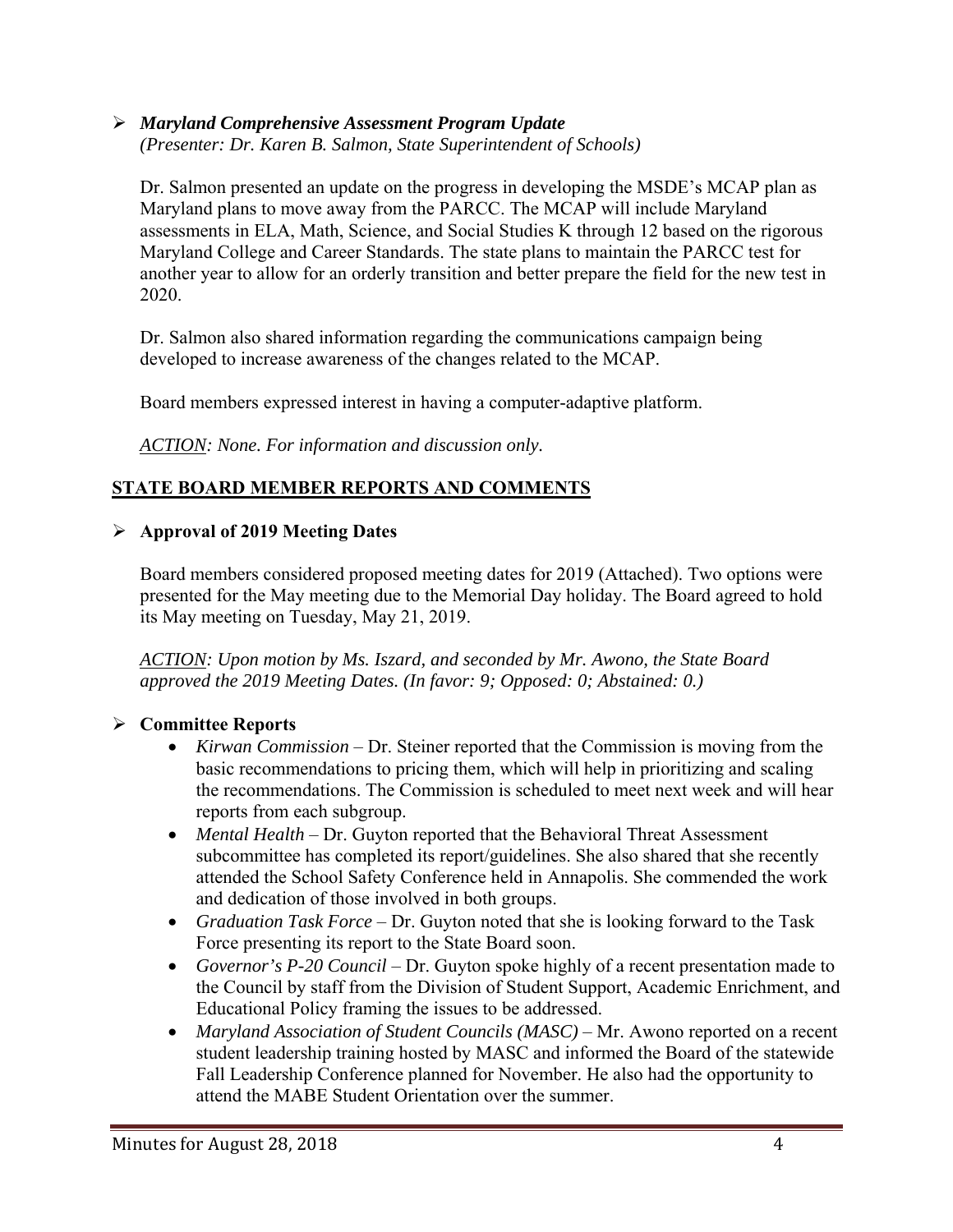#### *Maryland Comprehensive Assessment Program Update (Presenter: Dr. Karen B. Salmon, State Superintendent of Schools)*

Dr. Salmon presented an update on the progress in developing the MSDE's MCAP plan as Maryland plans to move away from the PARCC. The MCAP will include Maryland assessments in ELA, Math, Science, and Social Studies K through 12 based on the rigorous Maryland College and Career Standards. The state plans to maintain the PARCC test for another year to allow for an orderly transition and better prepare the field for the new test in 2020.

Dr. Salmon also shared information regarding the communications campaign being developed to increase awareness of the changes related to the MCAP.

Board members expressed interest in having a computer-adaptive platform.

*ACTION: None. For information and discussion only.* 

# **STATE BOARD MEMBER REPORTS AND COMMENTS**

## **Approval of 2019 Meeting Dates**

Board members considered proposed meeting dates for 2019 (Attached). Two options were presented for the May meeting due to the Memorial Day holiday. The Board agreed to hold its May meeting on Tuesday, May 21, 2019.

*ACTION: Upon motion by Ms. Iszard, and seconded by Mr. Awono, the State Board approved the 2019 Meeting Dates. (In favor: 9; Opposed: 0; Abstained: 0.)* 

## **Committee Reports**

- *Kirwan Commission* Dr. Steiner reported that the Commission is moving from the basic recommendations to pricing them, which will help in prioritizing and scaling the recommendations. The Commission is scheduled to meet next week and will hear reports from each subgroup.
- *Mental Health* Dr. Guyton reported that the Behavioral Threat Assessment subcommittee has completed its report/guidelines. She also shared that she recently attended the School Safety Conference held in Annapolis. She commended the work and dedication of those involved in both groups.
- *Graduation Task Force* Dr. Guyton noted that she is looking forward to the Task Force presenting its report to the State Board soon.
- *Governor's P-20 Council* Dr. Guyton spoke highly of a recent presentation made to the Council by staff from the Division of Student Support, Academic Enrichment, and Educational Policy framing the issues to be addressed.
- *Maryland Association of Student Councils (MASC)* Mr. Awono reported on a recent student leadership training hosted by MASC and informed the Board of the statewide Fall Leadership Conference planned for November. He also had the opportunity to attend the MABE Student Orientation over the summer.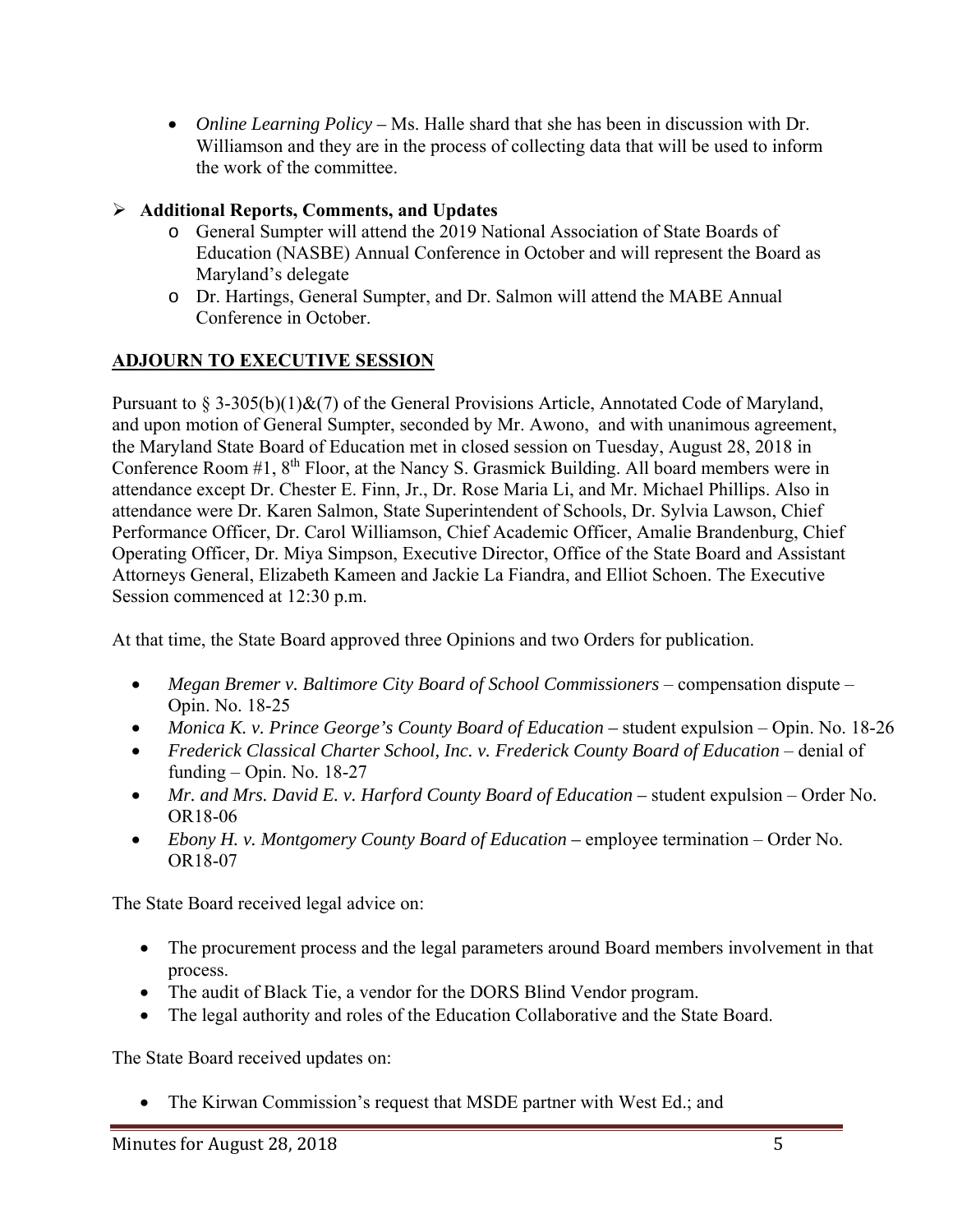*Online Learning Policy –* Ms. Halle shard that she has been in discussion with Dr. Williamson and they are in the process of collecting data that will be used to inform the work of the committee.

# **Additional Reports, Comments, and Updates**

- o General Sumpter will attend the 2019 National Association of State Boards of Education (NASBE) Annual Conference in October and will represent the Board as Maryland's delegate
- o Dr. Hartings, General Sumpter, and Dr. Salmon will attend the MABE Annual Conference in October.

# **ADJOURN TO EXECUTIVE SESSION**

Pursuant to § 3-305(b)(1)&(7) of the General Provisions Article, Annotated Code of Maryland, and upon motion of General Sumpter, seconded by Mr. Awono, and with unanimous agreement, the Maryland State Board of Education met in closed session on Tuesday, August 28, 2018 in Conference Room #1, 8th Floor, at the Nancy S. Grasmick Building. All board members were in attendance except Dr. Chester E. Finn, Jr., Dr. Rose Maria Li, and Mr. Michael Phillips. Also in attendance were Dr. Karen Salmon, State Superintendent of Schools, Dr. Sylvia Lawson, Chief Performance Officer, Dr. Carol Williamson, Chief Academic Officer, Amalie Brandenburg, Chief Operating Officer, Dr. Miya Simpson, Executive Director, Office of the State Board and Assistant Attorneys General, Elizabeth Kameen and Jackie La Fiandra, and Elliot Schoen. The Executive Session commenced at 12:30 p.m.

At that time, the State Board approved three Opinions and two Orders for publication.

- Megan Bremer v. Baltimore City Board of School Commissioners compensation dispute Opin. No. 18-25
- *Monica K. v. Prince George's County Board of Education student expulsion Opin. No.* 18-26
- **•** Frederick Classical Charter School, Inc. v. Frederick County Board of Education denial of funding – Opin. No. 18-27
- *Mr. and Mrs. David E. v. Harford County Board of Education* student expulsion Order No. OR18-06
- *Ebony H. v. Montgomery County Board of Education* employee termination Order No. OR18-07

The State Board received legal advice on:

- The procurement process and the legal parameters around Board members involvement in that process.
- The audit of Black Tie, a vendor for the DORS Blind Vendor program.
- The legal authority and roles of the Education Collaborative and the State Board.

The State Board received updates on:

• The Kirwan Commission's request that MSDE partner with West Ed.; and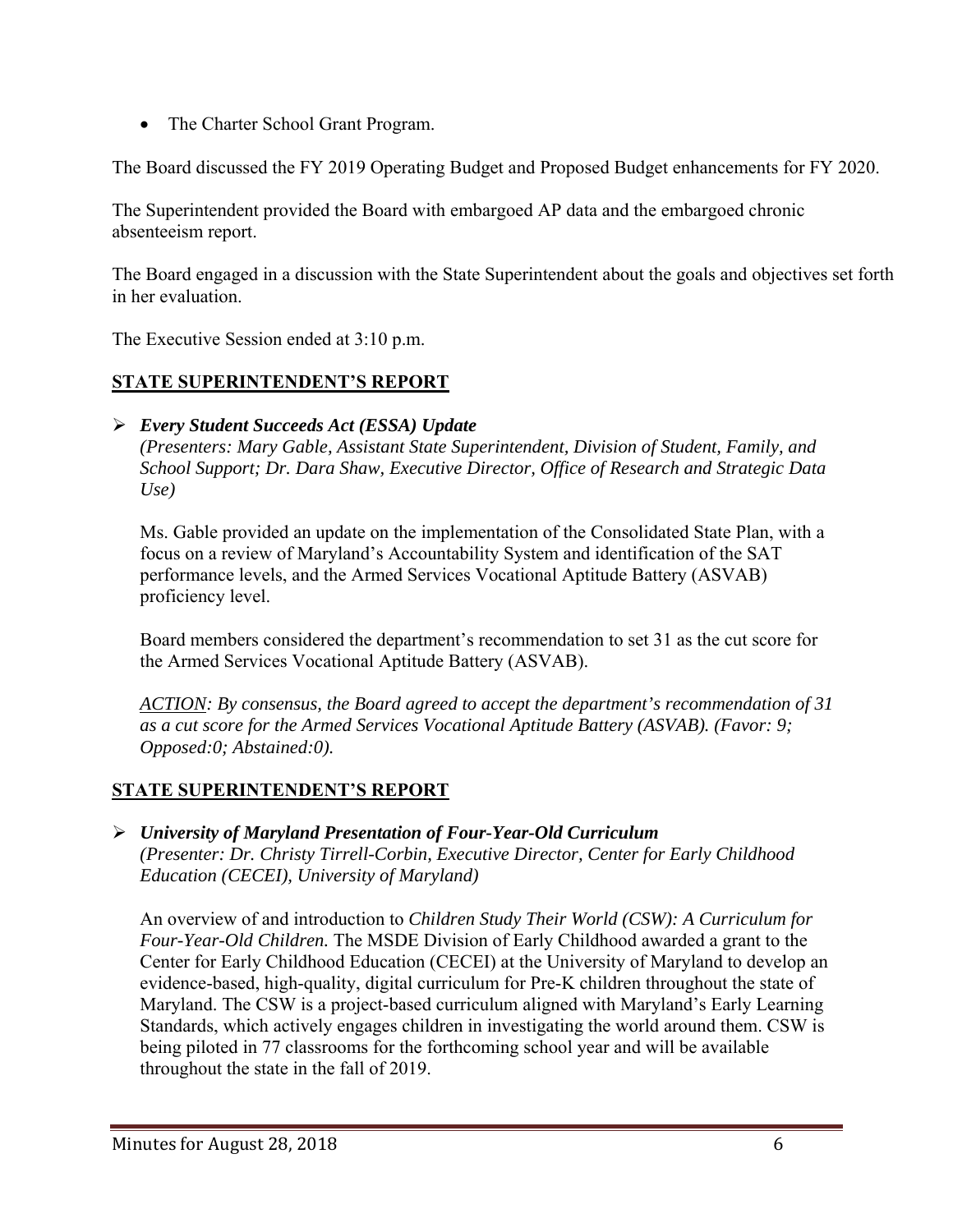• The Charter School Grant Program.

The Board discussed the FY 2019 Operating Budget and Proposed Budget enhancements for FY 2020.

The Superintendent provided the Board with embargoed AP data and the embargoed chronic absenteeism report.

The Board engaged in a discussion with the State Superintendent about the goals and objectives set forth in her evaluation.

The Executive Session ended at 3:10 p.m.

## **STATE SUPERINTENDENT'S REPORT**

## *Every Student Succeeds Act (ESSA) Update*

*(Presenters: Mary Gable, Assistant State Superintendent, Division of Student, Family, and School Support; Dr. Dara Shaw, Executive Director, Office of Research and Strategic Data Use)* 

Ms. Gable provided an update on the implementation of the Consolidated State Plan, with a focus on a review of Maryland's Accountability System and identification of the SAT performance levels, and the Armed Services Vocational Aptitude Battery (ASVAB) proficiency level.

Board members considered the department's recommendation to set 31 as the cut score for the Armed Services Vocational Aptitude Battery (ASVAB).

*ACTION: By consensus, the Board agreed to accept the department's recommendation of 31 as a cut score for the Armed Services Vocational Aptitude Battery (ASVAB). (Favor: 9; Opposed:0; Abstained:0).* 

## **STATE SUPERINTENDENT'S REPORT**

 *University of Maryland Presentation of Four-Year-Old Curriculum (Presenter: Dr. Christy Tirrell-Corbin, Executive Director, Center for Early Childhood Education (CECEI), University of Maryland)* 

An overview of and introduction to *Children Study Their World (CSW): A Curriculum for Four-Year-Old Children.* The MSDE Division of Early Childhood awarded a grant to the Center for Early Childhood Education (CECEI) at the University of Maryland to develop an evidence-based, high-quality, digital curriculum for Pre-K children throughout the state of Maryland. The CSW is a project-based curriculum aligned with Maryland's Early Learning Standards, which actively engages children in investigating the world around them. CSW is being piloted in 77 classrooms for the forthcoming school year and will be available throughout the state in the fall of 2019.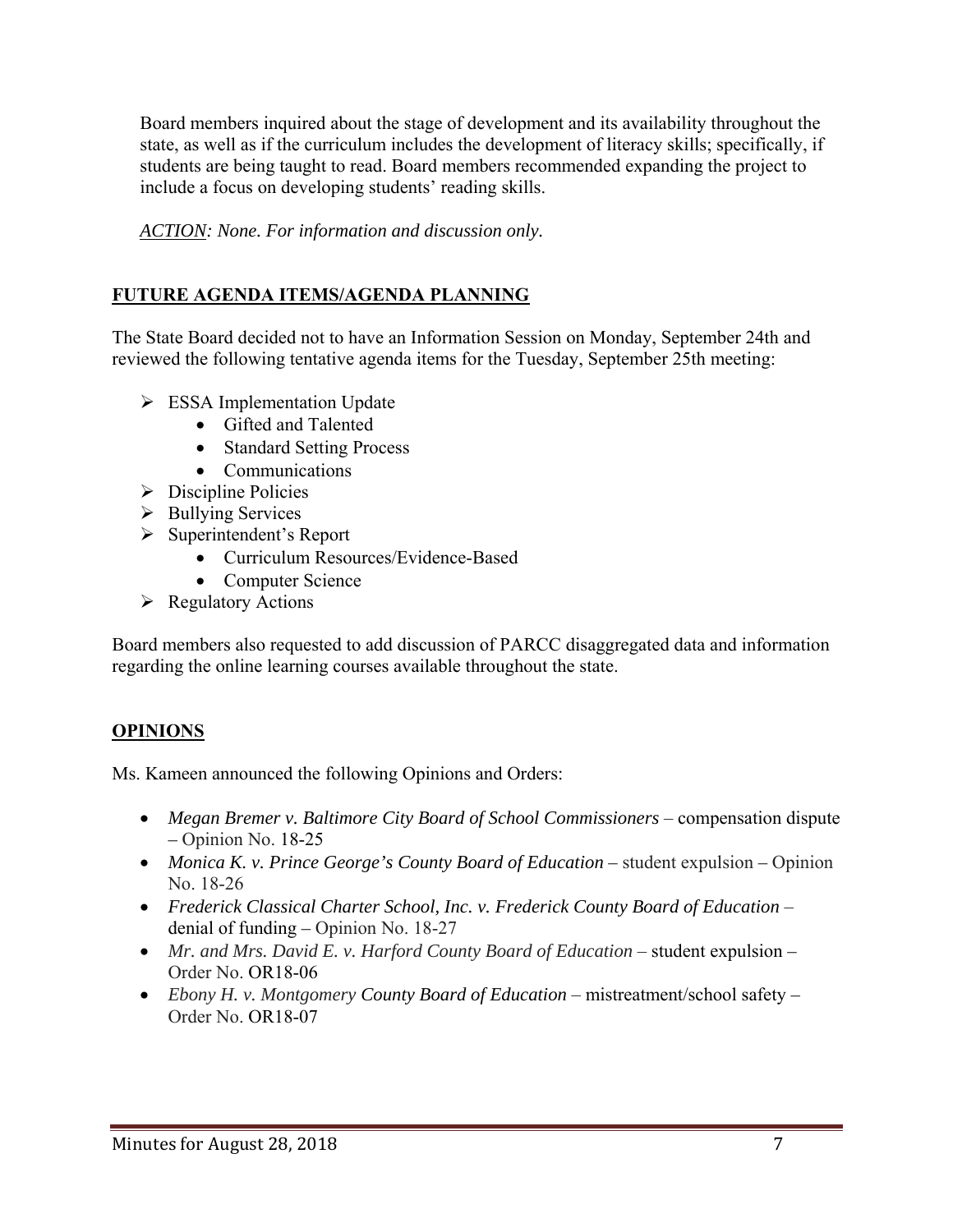Board members inquired about the stage of development and its availability throughout the state, as well as if the curriculum includes the development of literacy skills; specifically, if students are being taught to read. Board members recommended expanding the project to include a focus on developing students' reading skills.

*ACTION: None. For information and discussion only.* 

# **FUTURE AGENDA ITEMS/AGENDA PLANNING**

The State Board decided not to have an Information Session on Monday, September 24th and reviewed the following tentative agenda items for the Tuesday, September 25th meeting:

- $\triangleright$  ESSA Implementation Update
	- Gifted and Talented
	- Standard Setting Process
	- Communications
- $\triangleright$  Discipline Policies
- $\triangleright$  Bullying Services
- $\triangleright$  Superintendent's Report
	- Curriculum Resources/Evidence-Based
	- Computer Science
- $\triangleright$  Regulatory Actions

Board members also requested to add discussion of PARCC disaggregated data and information regarding the online learning courses available throughout the state.

## **OPINIONS**

Ms. Kameen announced the following Opinions and Orders:

- Megan Bremer v. Baltimore City Board of School Commissioners compensation dispute *–* Opinion No. 18-25
- *Monica K. v. Prince George's County Board of Education* student expulsionOpinion No. 18-26
- **•** Frederick Classical Charter School, Inc. v. Frederick County Board of Education denial of funding *–* Opinion No. 18-27
- *Mr. and Mrs. David E. v. Harford County Board of Education student expulsion* Order No. OR18-06
- *Ebony H. v. Montgomery County Board of Education* mistreatment/school safety  Order No. OR18-07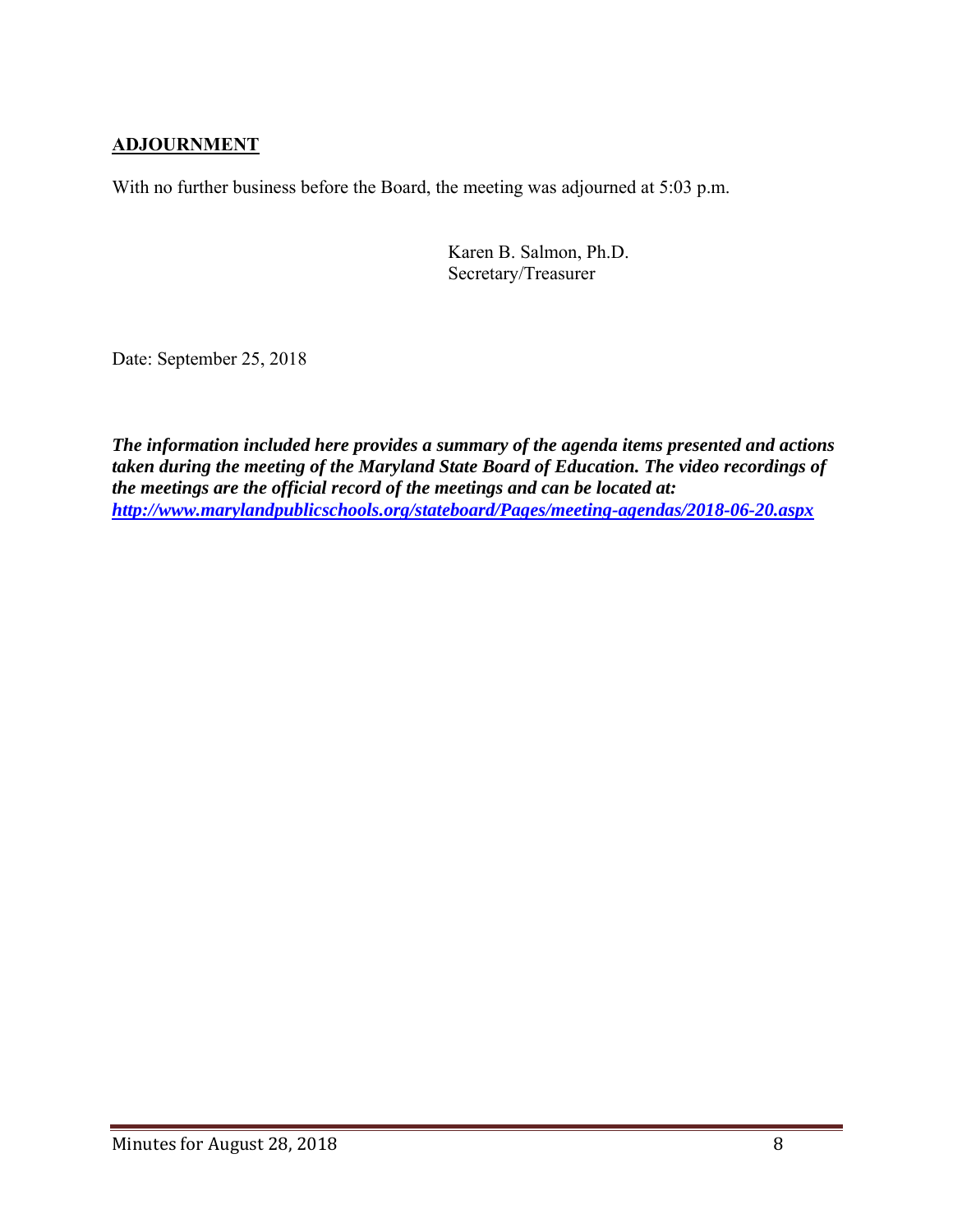## **ADJOURNMENT**

With no further business before the Board, the meeting was adjourned at 5:03 p.m.

Karen B. Salmon, Ph.D. Secretary/Treasurer

Date: September 25, 2018

*The information included here provides a summary of the agenda items presented and actions taken during the meeting of the Maryland State Board of Education. The video recordings of the meetings are the official record of the meetings and can be located at: http://www.marylandpublicschools.org/stateboard/Pages/meeting-agendas/2018-06-20.aspx*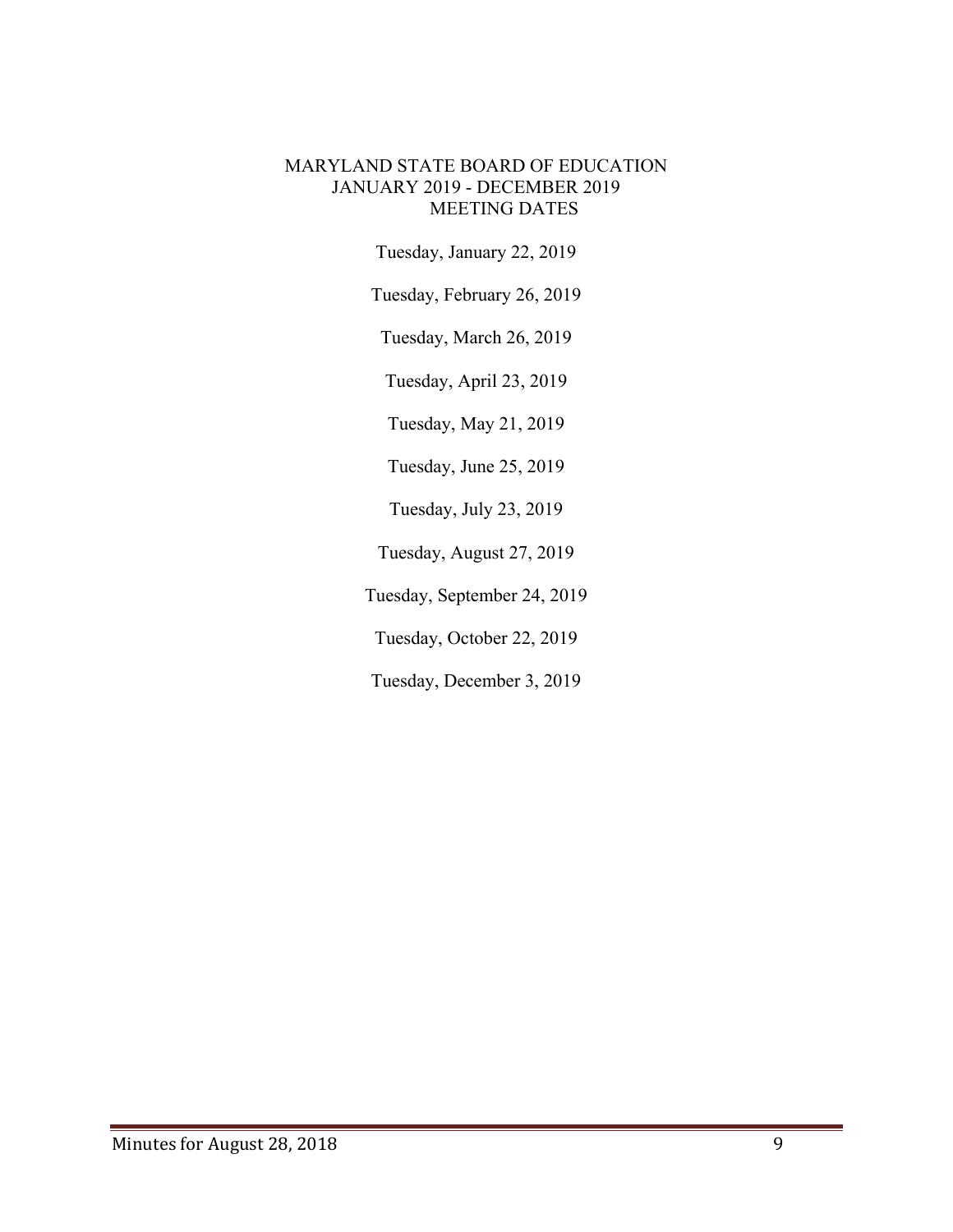#### MARYLAND STATE BOARD OF EDUCATION JANUARY 2019 - DECEMBER 2019 MEETING DATES

Tuesday, January 22, 2019

Tuesday, February 26, 2019

Tuesday, March 26, 2019

Tuesday, April 23, 2019

Tuesday, May 21, 2019

Tuesday, June 25, 2019

Tuesday, July 23, 2019

Tuesday, August 27, 2019

Tuesday, September 24, 2019

Tuesday, October 22, 2019

Tuesday, December 3, 2019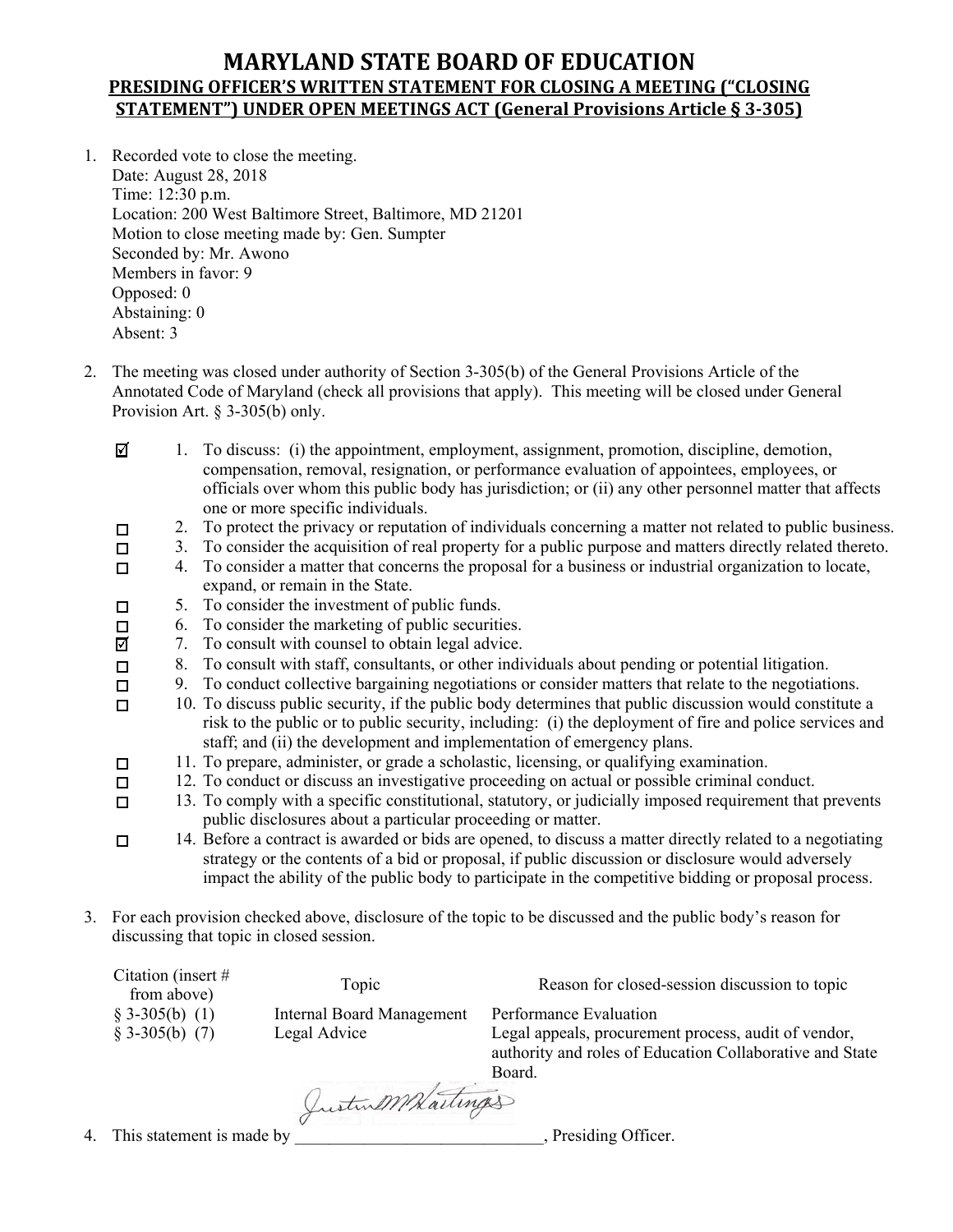## **MARYLAND STATE BOARD OF EDUCATION PRESIDING OFFICER'S WRITTEN STATEMENT FOR CLOSING A MEETING ("CLOSING STATEMENT") UNDER OPEN MEETINGS ACT (General Provisions Article § 3‐305)**

- 1. Recorded vote to close the meeting. Date: August 28, 2018 Time: 12:30 p.m. Location: 200 West Baltimore Street, Baltimore, MD 21201 Motion to close meeting made by: Gen. Sumpter Seconded by: Mr. Awono Members in favor: 9 Opposed: 0 Abstaining: 0 Absent: 3
- 2. The meeting was closed under authority of Section 3-305(b) of the General Provisions Article of the Annotated Code of Maryland (check all provisions that apply). This meeting will be closed under General Provision Art. § 3-305(b) only.
	- ⊠ 1. To discuss: (i) the appointment, employment, assignment, promotion, discipline, demotion, compensation, removal, resignation, or performance evaluation of appointees, employees, or officials over whom this public body has jurisdiction; or (ii) any other personnel matter that affects one or more specific individuals.
	- 2. To protect the privacy or reputation of individuals concerning a matter not related to public business.  $\Box$
	- 3. To consider the acquisition of real property for a public purpose and matters directly related thereto.  $\Box$ 
		- 4. To consider a matter that concerns the proposal for a business or industrial organization to locate, expand, or remain in the State.
	- 5. To consider the investment of public funds.  $\Box$ 
		- 6. To consider the marketing of public securities.
	- ☑ 7. To consult with counsel to obtain legal advice.
	- 8. To consult with staff, consultants, or other individuals about pending or potential litigation.  $\Box$ 
		- 9. To conduct collective bargaining negotiations or consider matters that relate to the negotiations.
	- 10. To discuss public security, if the public body determines that public discussion would constitute a  $\Box$ risk to the public or to public security, including: (i) the deployment of fire and police services and staff; and (ii) the development and implementation of emergency plans.
		- 11. To prepare, administer, or grade a scholastic, licensing, or qualifying examination.
	- 12. To conduct or discuss an investigative proceeding on actual or possible criminal conduct.  $\Box$
	- 13. To comply with a specific constitutional, statutory, or judicially imposed requirement that prevents  $\Box$ public disclosures about a particular proceeding or matter.
	- 14. Before a contract is awarded or bids are opened, to discuss a matter directly related to a negotiating  $\Box$ strategy or the contents of a bid or proposal, if public discussion or disclosure would adversely impact the ability of the public body to participate in the competitive bidding or proposal process.

Board.

3. For each provision checked above, disclosure of the topic to be discussed and the public body's reason for discussing that topic in closed session.

| Citation (insert $#$<br>from above) | Topic                            | Reason for closed-session discussion to topic            |
|-------------------------------------|----------------------------------|----------------------------------------------------------|
| $$3-305(b) (1)$                     | <b>Internal Board Management</b> | Performance Evaluation                                   |
| $\S$ 3-305(b) (7)                   | Legal Advice                     | Legal appeals, procurement process, audit of vendor,     |
|                                     |                                  | authority and roles of Education Collaborative and State |

4. This statement is made by <u>Justin MW Laiting</u>

 $\Box$ 

 $\Box$ 

 $\Box$ 

 $\Box$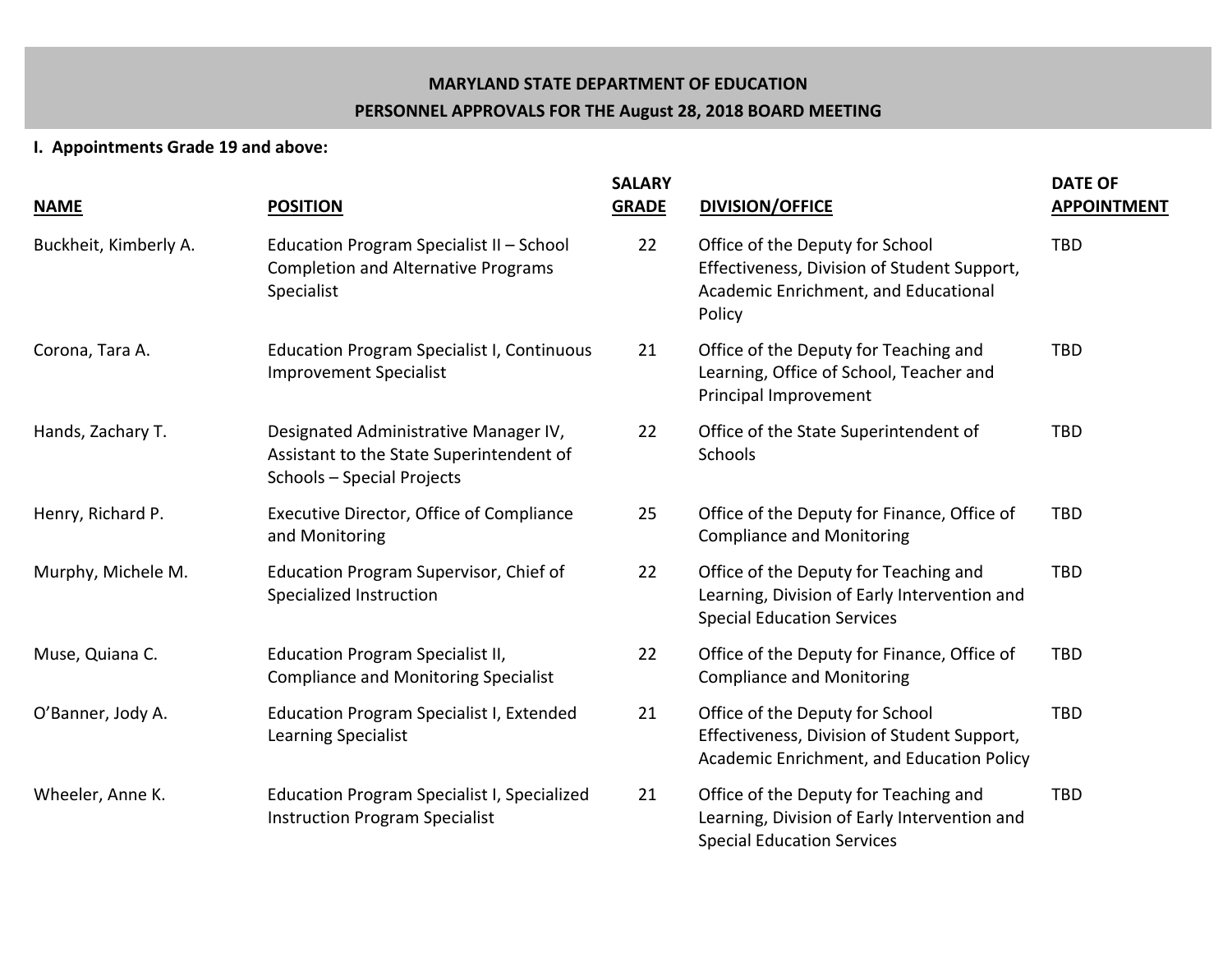# **MARYLAND STATE DEPARTMENT OF EDUCATION PERSONNEL APPROVALS FOR THE August 28, 2018 BOARD MEETING**

## **I. Appointments Grade 19 and above:**

| <b>NAME</b>           | <b>POSITION</b>                                                                                                 | <b>SALARY</b><br><b>GRADE</b> | <b>DIVISION/OFFICE</b>                                                                                                           | <b>DATE OF</b><br><b>APPOINTMENT</b> |
|-----------------------|-----------------------------------------------------------------------------------------------------------------|-------------------------------|----------------------------------------------------------------------------------------------------------------------------------|--------------------------------------|
| Buckheit, Kimberly A. | Education Program Specialist II - School<br><b>Completion and Alternative Programs</b><br>Specialist            | 22                            | Office of the Deputy for School<br>Effectiveness, Division of Student Support,<br>Academic Enrichment, and Educational<br>Policy | <b>TBD</b>                           |
| Corona, Tara A.       | <b>Education Program Specialist I, Continuous</b><br><b>Improvement Specialist</b>                              | 21                            | Office of the Deputy for Teaching and<br>Learning, Office of School, Teacher and<br>Principal Improvement                        | <b>TBD</b>                           |
| Hands, Zachary T.     | Designated Administrative Manager IV,<br>Assistant to the State Superintendent of<br>Schools - Special Projects | 22                            | Office of the State Superintendent of<br>Schools                                                                                 | <b>TBD</b>                           |
| Henry, Richard P.     | Executive Director, Office of Compliance<br>and Monitoring                                                      | 25                            | Office of the Deputy for Finance, Office of<br><b>Compliance and Monitoring</b>                                                  | <b>TBD</b>                           |
| Murphy, Michele M.    | Education Program Supervisor, Chief of<br>Specialized Instruction                                               | 22                            | Office of the Deputy for Teaching and<br>Learning, Division of Early Intervention and<br><b>Special Education Services</b>       | <b>TBD</b>                           |
| Muse, Quiana C.       | <b>Education Program Specialist II,</b><br><b>Compliance and Monitoring Specialist</b>                          | 22                            | Office of the Deputy for Finance, Office of<br><b>Compliance and Monitoring</b>                                                  | <b>TBD</b>                           |
| O'Banner, Jody A.     | <b>Education Program Specialist I, Extended</b><br>Learning Specialist                                          | 21                            | Office of the Deputy for School<br>Effectiveness, Division of Student Support,<br>Academic Enrichment, and Education Policy      | <b>TBD</b>                           |
| Wheeler, Anne K.      | <b>Education Program Specialist I, Specialized</b><br><b>Instruction Program Specialist</b>                     | 21                            | Office of the Deputy for Teaching and<br>Learning, Division of Early Intervention and<br><b>Special Education Services</b>       | <b>TBD</b>                           |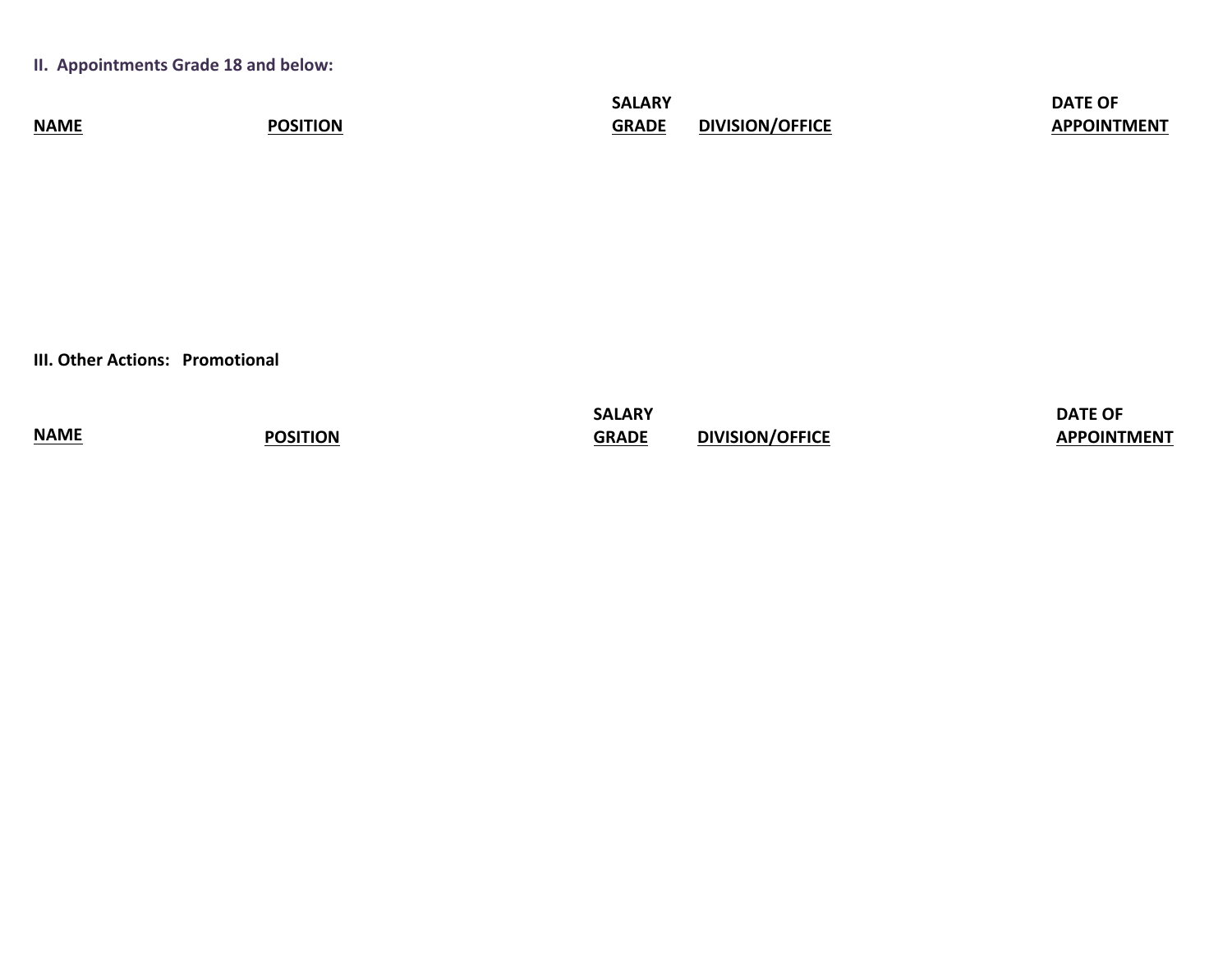**II. Appointments Grade 18 and below:** 

|             |            | <b>SALARY</b>        |                        | <b>DATE OF</b>       |
|-------------|------------|----------------------|------------------------|----------------------|
| <b>NAME</b> | <b>HON</b> | <b>GRADE</b><br>JNAL | <b>DIVISION/OFFICE</b> | .<br><b>OINTMENT</b> |

**III. Other Actions: Promotional** 

|                         |          | SALARY       |                        | <b>DATE OF</b>     |
|-------------------------|----------|--------------|------------------------|--------------------|
| <b>NAME</b><br>________ | POSITION | <b>GRADE</b> | <b>DIVISION/OFFICE</b> | <b>APPOINTMENT</b> |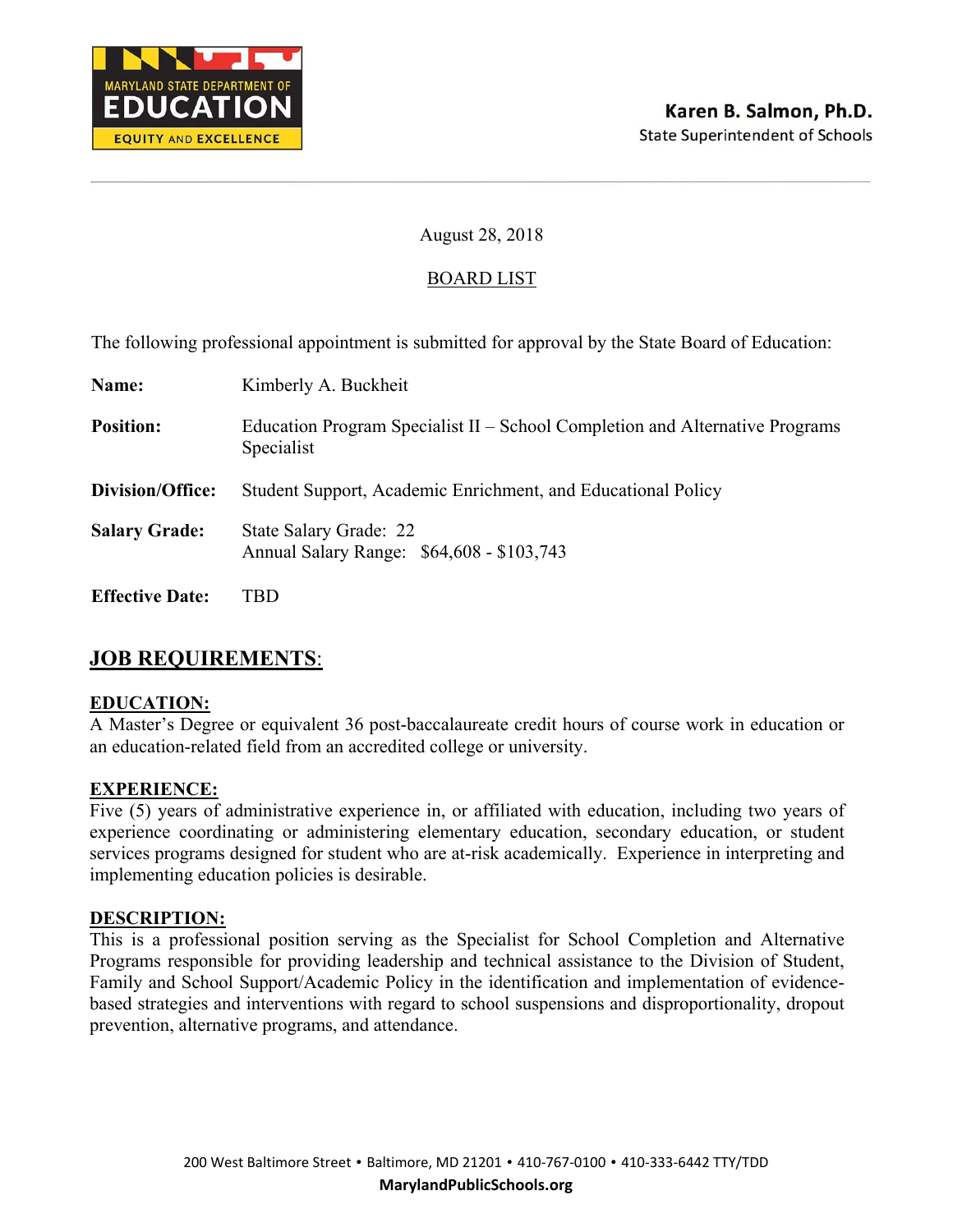

## BOARD LIST

The following professional appointment is submitted for approval by the State Board of Education:

| Name:                  | Kimberly A. Buckheit                                                                       |
|------------------------|--------------------------------------------------------------------------------------------|
| <b>Position:</b>       | Education Program Specialist II – School Completion and Alternative Programs<br>Specialist |
| Division/Office:       | Student Support, Academic Enrichment, and Educational Policy                               |
| <b>Salary Grade:</b>   | State Salary Grade: 22<br>Annual Salary Range: \$64,608 - \$103,743                        |
| <b>Effective Date:</b> | TBD                                                                                        |

# **JOB REQUIREMENTS**:

#### **EDUCATION:**

A Master's Degree or equivalent 36 post-baccalaureate credit hours of course work in education or an education-related field from an accredited college or university.

#### **EXPERIENCE:**

Five (5) years of administrative experience in, or affiliated with education, including two years of experience coordinating or administering elementary education, secondary education, or student services programs designed for student who are at-risk academically. Experience in interpreting and implementing education policies is desirable.

#### **DESCRIPTION:**

This is a professional position serving as the Specialist for School Completion and Alternative Programs responsible for providing leadership and technical assistance to the Division of Student, Family and School Support/Academic Policy in the identification and implementation of evidencebased strategies and interventions with regard to school suspensions and disproportionality, dropout prevention, alternative programs, and attendance.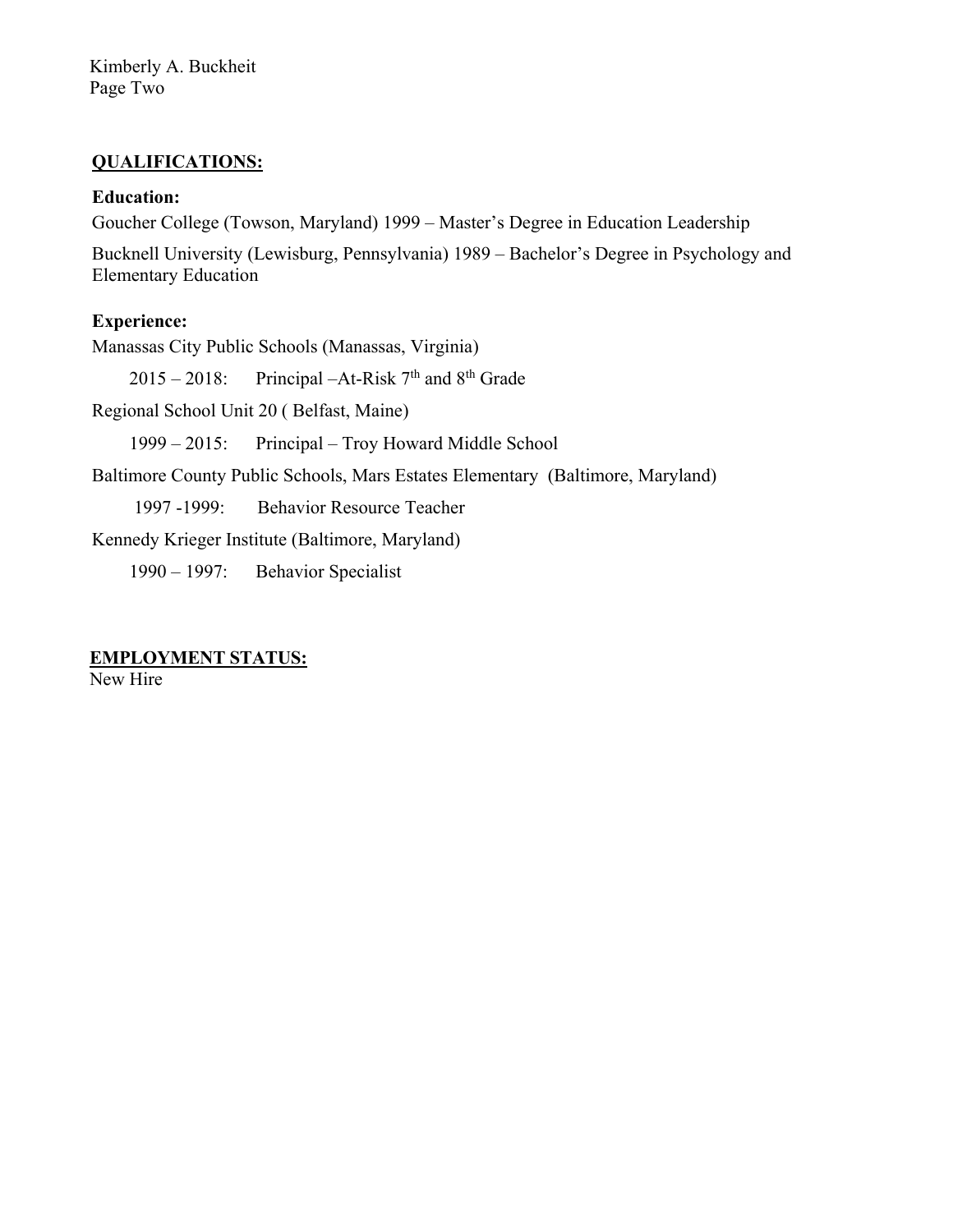Kimberly A. Buckheit Page Two

#### **QUALIFICATIONS:**

#### **Education:**

Goucher College (Towson, Maryland) 1999 – Master's Degree in Education Leadership

Bucknell University (Lewisburg, Pennsylvania) 1989 – Bachelor's Degree in Psychology and Elementary Education

## **Experience:**

Manassas City Public Schools (Manassas, Virginia)

 $2015 - 2018$ : Principal –At-Risk 7<sup>th</sup> and 8<sup>th</sup> Grade

Regional School Unit 20 ( Belfast, Maine)

1999 – 2015: Principal – Troy Howard Middle School

Baltimore County Public Schools, Mars Estates Elementary (Baltimore, Maryland)

1997 -1999: Behavior Resource Teacher

Kennedy Krieger Institute (Baltimore, Maryland)

1990 – 1997: Behavior Specialist

#### **EMPLOYMENT STATUS:**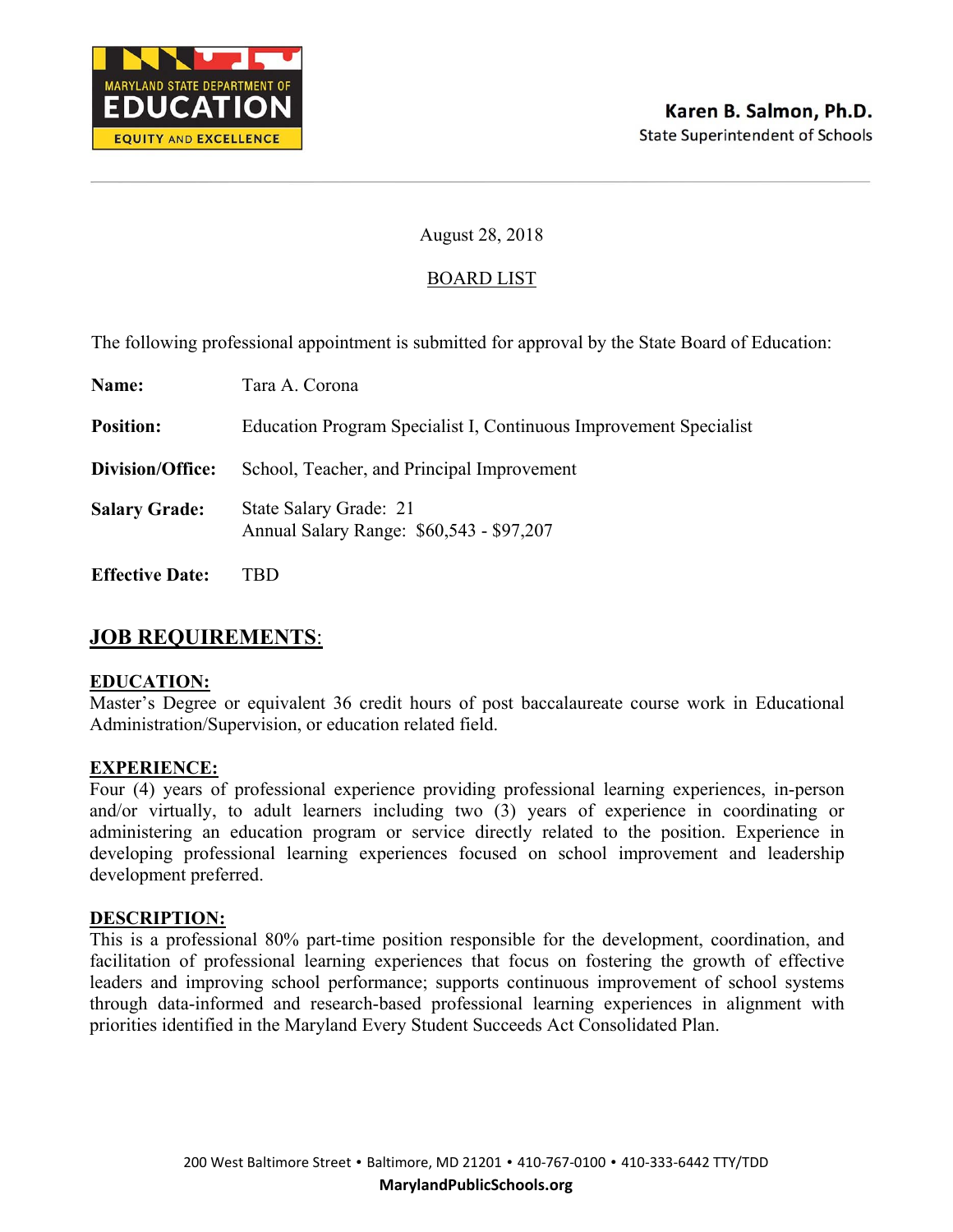

## BOARD LIST

The following professional appointment is submitted for approval by the State Board of Education:

| Name:                  | Tara A. Corona                                                     |
|------------------------|--------------------------------------------------------------------|
| <b>Position:</b>       | Education Program Specialist I, Continuous Improvement Specialist  |
| Division/Office:       | School, Teacher, and Principal Improvement                         |
| <b>Salary Grade:</b>   | State Salary Grade: 21<br>Annual Salary Range: \$60,543 - \$97,207 |
| <b>Effective Date:</b> | TBD                                                                |

## **JOB REQUIREMENTS**:

#### **EDUCATION:**

Master's Degree or equivalent 36 credit hours of post baccalaureate course work in Educational Administration/Supervision, or education related field.

#### **EXPERIENCE:**

Four (4) years of professional experience providing professional learning experiences, in-person and/or virtually, to adult learners including two (3) years of experience in coordinating or administering an education program or service directly related to the position. Experience in developing professional learning experiences focused on school improvement and leadership development preferred.

#### **DESCRIPTION:**

This is a professional 80% part-time position responsible for the development, coordination, and facilitation of professional learning experiences that focus on fostering the growth of effective leaders and improving school performance; supports continuous improvement of school systems through data-informed and research-based professional learning experiences in alignment with priorities identified in the Maryland Every Student Succeeds Act Consolidated Plan.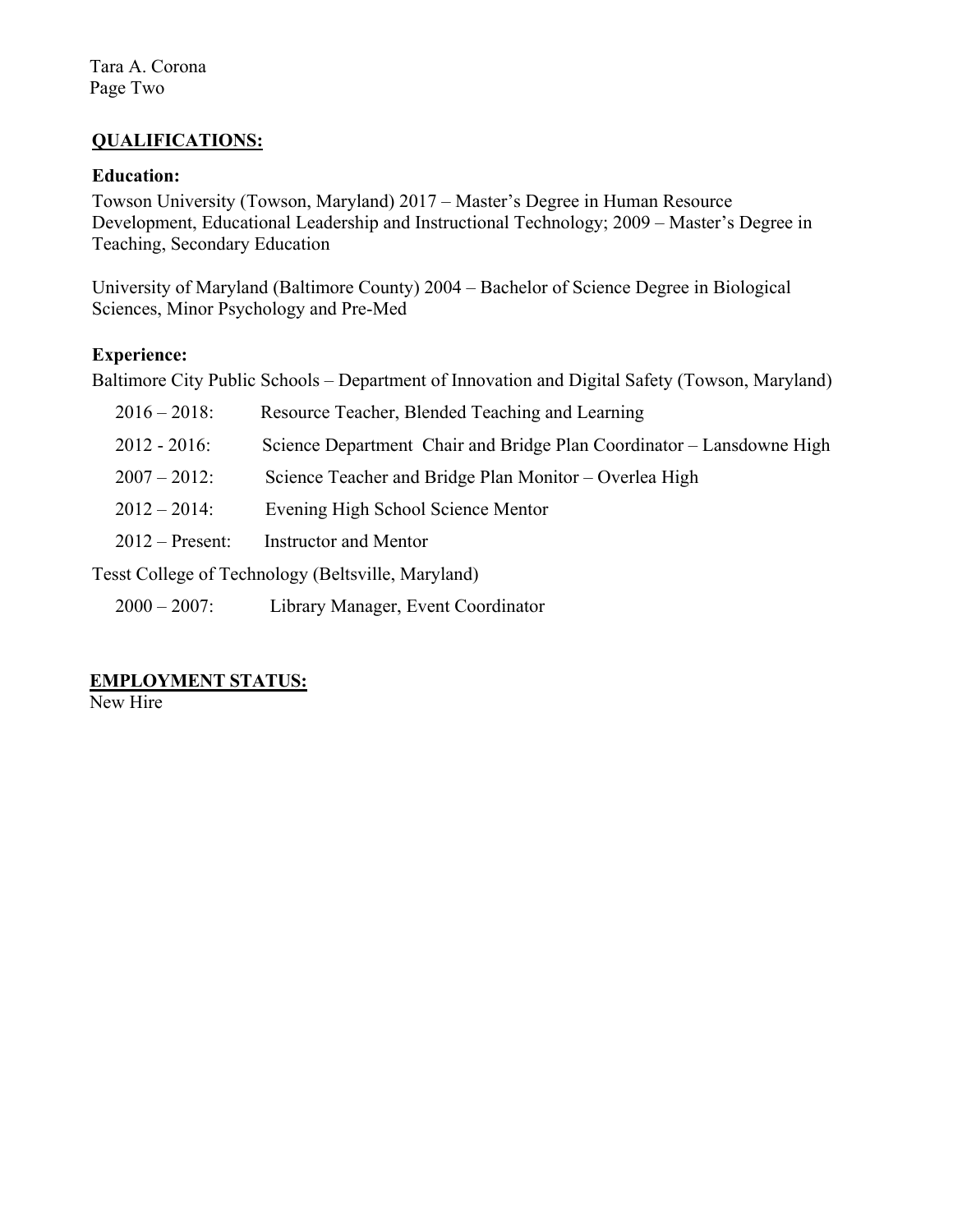## **QUALIFICATIONS:**

#### **Education:**

Towson University (Towson, Maryland) 2017 – Master's Degree in Human Resource Development, Educational Leadership and Instructional Technology; 2009 – Master's Degree in Teaching, Secondary Education

University of Maryland (Baltimore County) 2004 – Bachelor of Science Degree in Biological Sciences, Minor Psychology and Pre-Med

## **Experience:**

Baltimore City Public Schools – Department of Innovation and Digital Safety (Towson, Maryland)

| $2016 - 2018$ :   | Resource Teacher, Blended Teaching and Learning                       |
|-------------------|-----------------------------------------------------------------------|
| $2012 - 2016$ :   | Science Department Chair and Bridge Plan Coordinator – Lansdowne High |
| $2007 - 2012$     | Science Teacher and Bridge Plan Monitor – Overlea High                |
| $2012 - 2014$ :   | Evening High School Science Mentor                                    |
| $2012$ – Present: | <b>Instructor and Mentor</b>                                          |
|                   |                                                                       |

Tesst College of Technology (Beltsville, Maryland)

2000 – 2007: Library Manager, Event Coordinator

# **EMPLOYMENT STATUS:**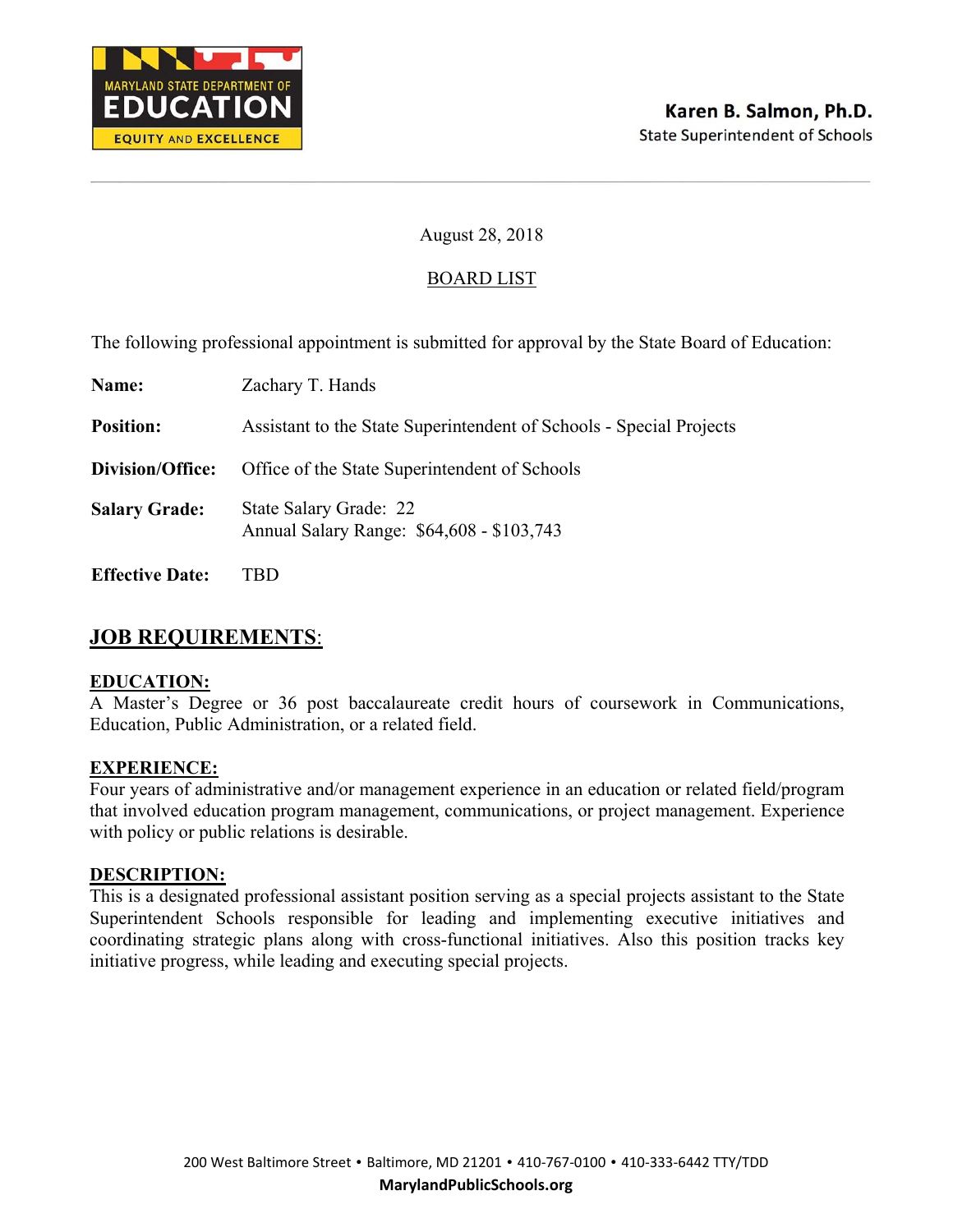

## BOARD LIST

The following professional appointment is submitted for approval by the State Board of Education:

| Name:                  | Zachary T. Hands                                                    |
|------------------------|---------------------------------------------------------------------|
| <b>Position:</b>       | Assistant to the State Superintendent of Schools - Special Projects |
| Division/Office:       | Office of the State Superintendent of Schools                       |
| <b>Salary Grade:</b>   | State Salary Grade: 22<br>Annual Salary Range: \$64,608 - \$103,743 |
| <b>Effective Date:</b> |                                                                     |

# **JOB REQUIREMENTS**:

#### **EDUCATION:**

A Master's Degree or 36 post baccalaureate credit hours of coursework in Communications, Education, Public Administration, or a related field.

#### **EXPERIENCE:**

Four years of administrative and/or management experience in an education or related field/program that involved education program management, communications, or project management. Experience with policy or public relations is desirable.

#### **DESCRIPTION:**

This is a designated professional assistant position serving as a special projects assistant to the State Superintendent Schools responsible for leading and implementing executive initiatives and coordinating strategic plans along with cross-functional initiatives. Also this position tracks key initiative progress, while leading and executing special projects.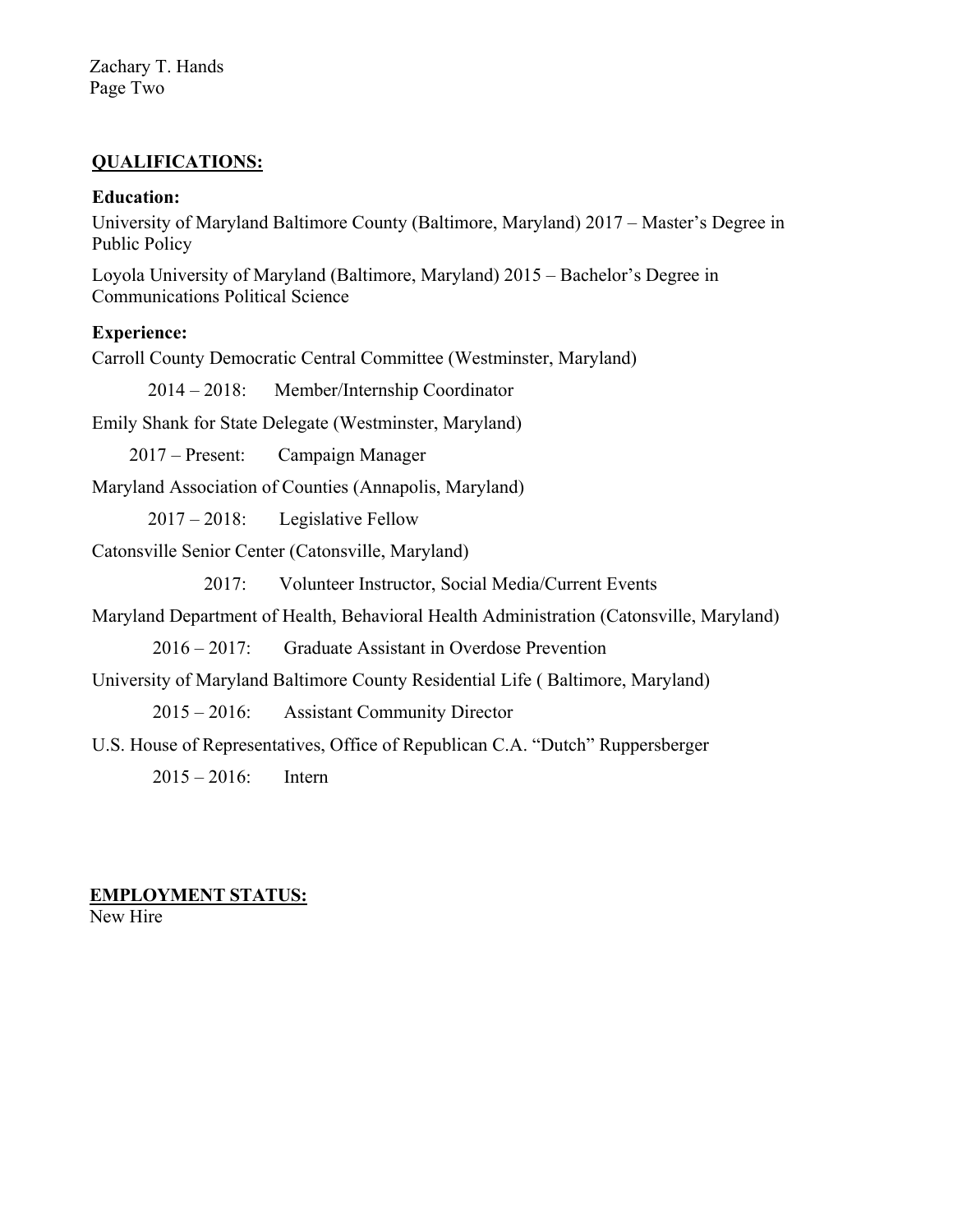Zachary T. Hands Page Two

## **QUALIFICATIONS:**

#### **Education:**

University of Maryland Baltimore County (Baltimore, Maryland) 2017 – Master's Degree in Public Policy

Loyola University of Maryland (Baltimore, Maryland) 2015 – Bachelor's Degree in Communications Political Science

#### **Experience:**

Carroll County Democratic Central Committee (Westminster, Maryland)

2014 – 2018: Member/Internship Coordinator

Emily Shank for State Delegate (Westminster, Maryland)

2017 – Present: Campaign Manager

Maryland Association of Counties (Annapolis, Maryland)

2017 – 2018: Legislative Fellow

Catonsville Senior Center (Catonsville, Maryland)

2017: Volunteer Instructor, Social Media/Current Events

Maryland Department of Health, Behavioral Health Administration (Catonsville, Maryland)

2016 – 2017: Graduate Assistant in Overdose Prevention

University of Maryland Baltimore County Residential Life ( Baltimore, Maryland)

2015 – 2016: Assistant Community Director

U.S. House of Representatives, Office of Republican C.A. "Dutch" Ruppersberger

2015 – 2016: Intern

# **EMPLOYMENT STATUS:**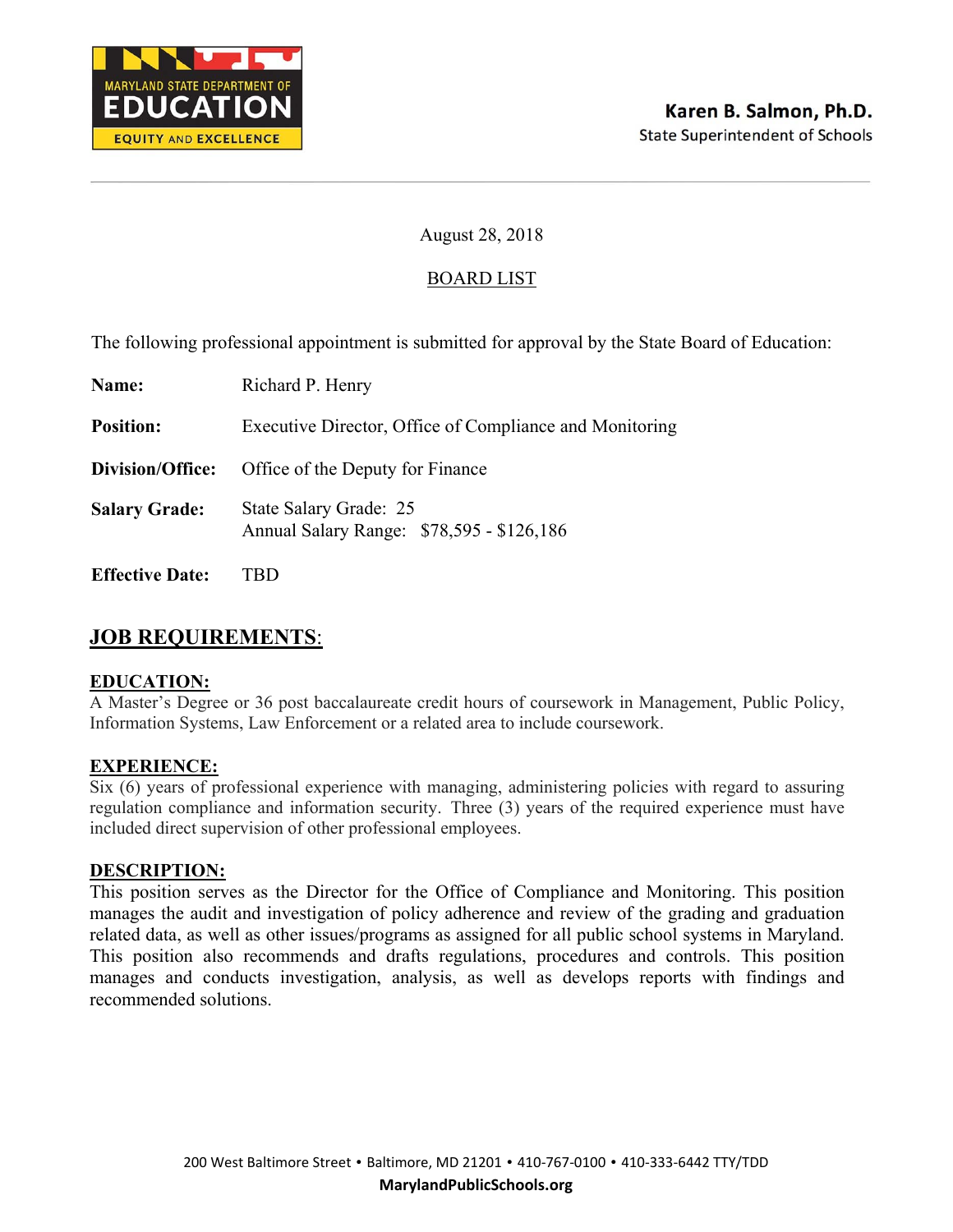

## BOARD LIST

The following professional appointment is submitted for approval by the State Board of Education:

| Name:                  | Richard P. Henry                                                    |
|------------------------|---------------------------------------------------------------------|
| <b>Position:</b>       | Executive Director, Office of Compliance and Monitoring             |
| Division/Office:       | Office of the Deputy for Finance                                    |
| <b>Salary Grade:</b>   | State Salary Grade: 25<br>Annual Salary Range: \$78,595 - \$126,186 |
| <b>Effective Date:</b> |                                                                     |

# **JOB REQUIREMENTS**:

#### **EDUCATION:**

A Master's Degree or 36 post baccalaureate credit hours of coursework in Management, Public Policy, Information Systems, Law Enforcement or a related area to include coursework.

#### **EXPERIENCE:**

Six (6) years of professional experience with managing, administering policies with regard to assuring regulation compliance and information security. Three (3) years of the required experience must have included direct supervision of other professional employees.

#### **DESCRIPTION:**

This position serves as the Director for the Office of Compliance and Monitoring. This position manages the audit and investigation of policy adherence and review of the grading and graduation related data, as well as other issues/programs as assigned for all public school systems in Maryland. This position also recommends and drafts regulations, procedures and controls. This position manages and conducts investigation, analysis, as well as develops reports with findings and recommended solutions.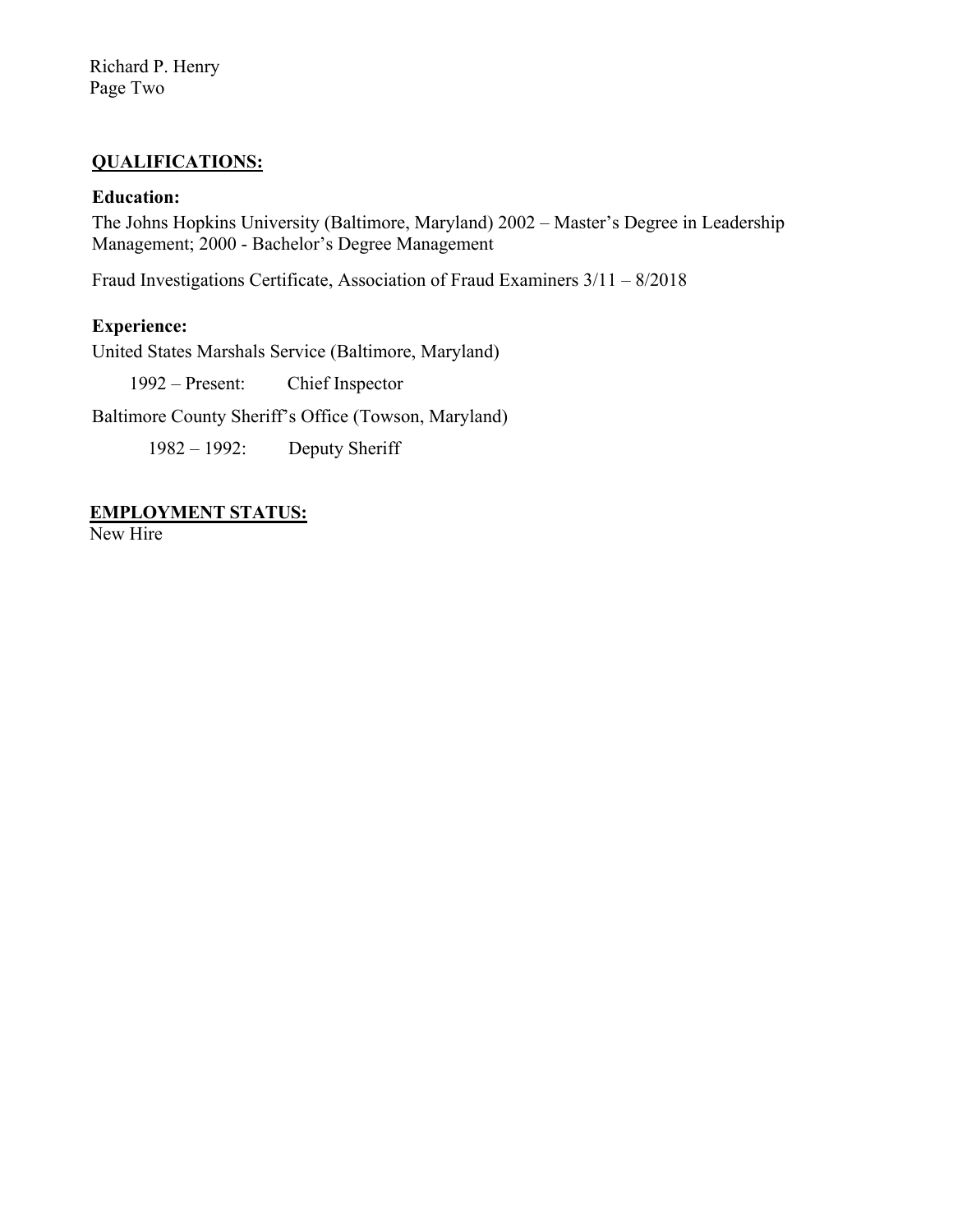Richard P. Henry Page Two

## **QUALIFICATIONS:**

#### **Education:**

The Johns Hopkins University (Baltimore, Maryland) 2002 – Master's Degree in Leadership Management; 2000 - Bachelor's Degree Management

Fraud Investigations Certificate, Association of Fraud Examiners 3/11 – 8/2018

#### **Experience:**

United States Marshals Service (Baltimore, Maryland)

1992 – Present: Chief Inspector

Baltimore County Sheriff's Office (Towson, Maryland)

1982 – 1992: Deputy Sheriff

**EMPLOYMENT STATUS:**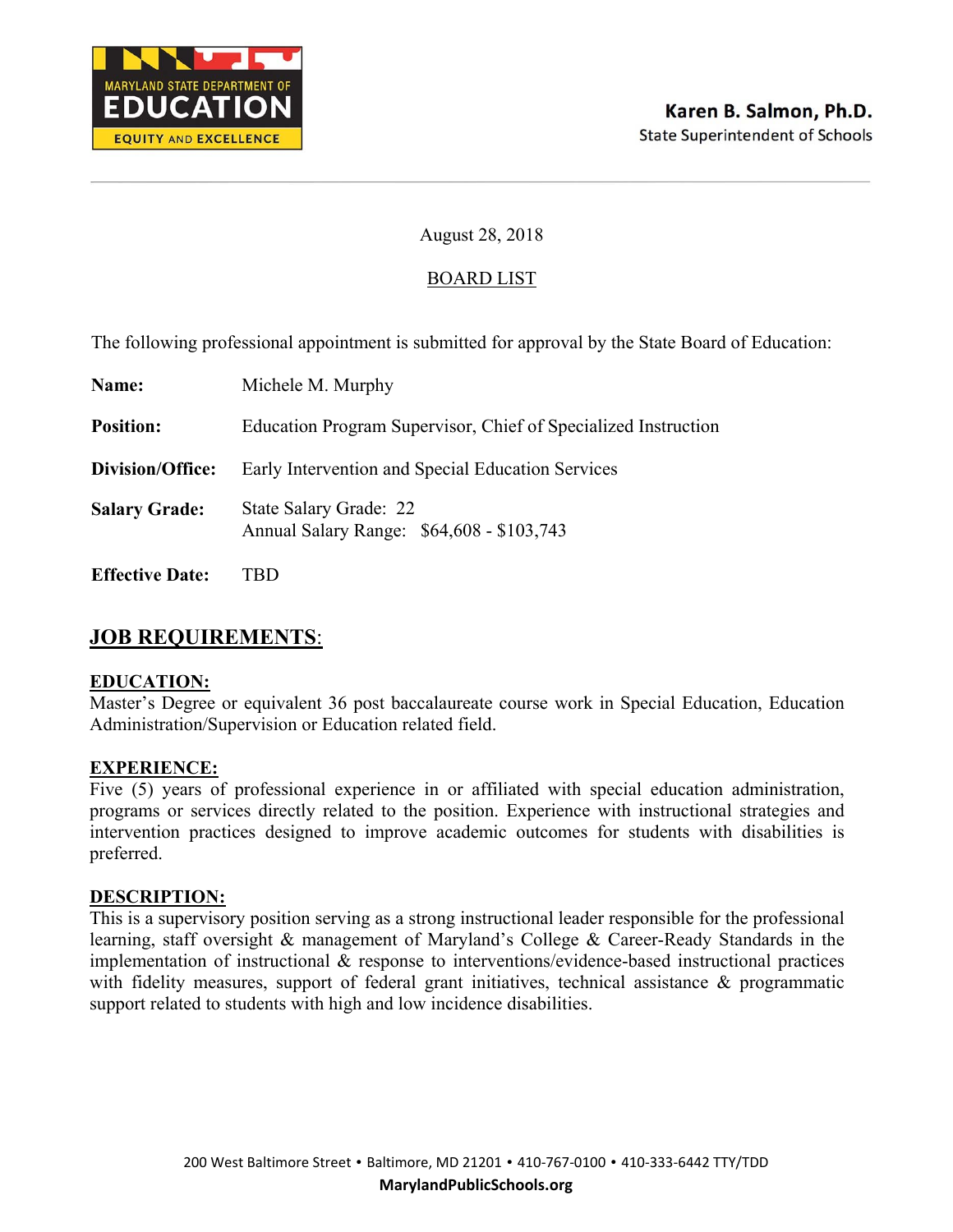

## BOARD LIST

The following professional appointment is submitted for approval by the State Board of Education:

| Name:                  | Michele M. Murphy                                                   |
|------------------------|---------------------------------------------------------------------|
| <b>Position:</b>       | Education Program Supervisor, Chief of Specialized Instruction      |
| Division/Office:       | Early Intervention and Special Education Services                   |
| <b>Salary Grade:</b>   | State Salary Grade: 22<br>Annual Salary Range: \$64,608 - \$103,743 |
| <b>Effective Date:</b> |                                                                     |

# **JOB REQUIREMENTS**:

#### **EDUCATION:**

Master's Degree or equivalent 36 post baccalaureate course work in Special Education, Education Administration/Supervision or Education related field.

#### **EXPERIENCE:**

Five (5) years of professional experience in or affiliated with special education administration, programs or services directly related to the position. Experience with instructional strategies and intervention practices designed to improve academic outcomes for students with disabilities is preferred.

#### **DESCRIPTION:**

This is a supervisory position serving as a strong instructional leader responsible for the professional learning, staff oversight & management of Maryland's College & Career-Ready Standards in the implementation of instructional & response to interventions/evidence-based instructional practices with fidelity measures, support of federal grant initiatives, technical assistance & programmatic support related to students with high and low incidence disabilities.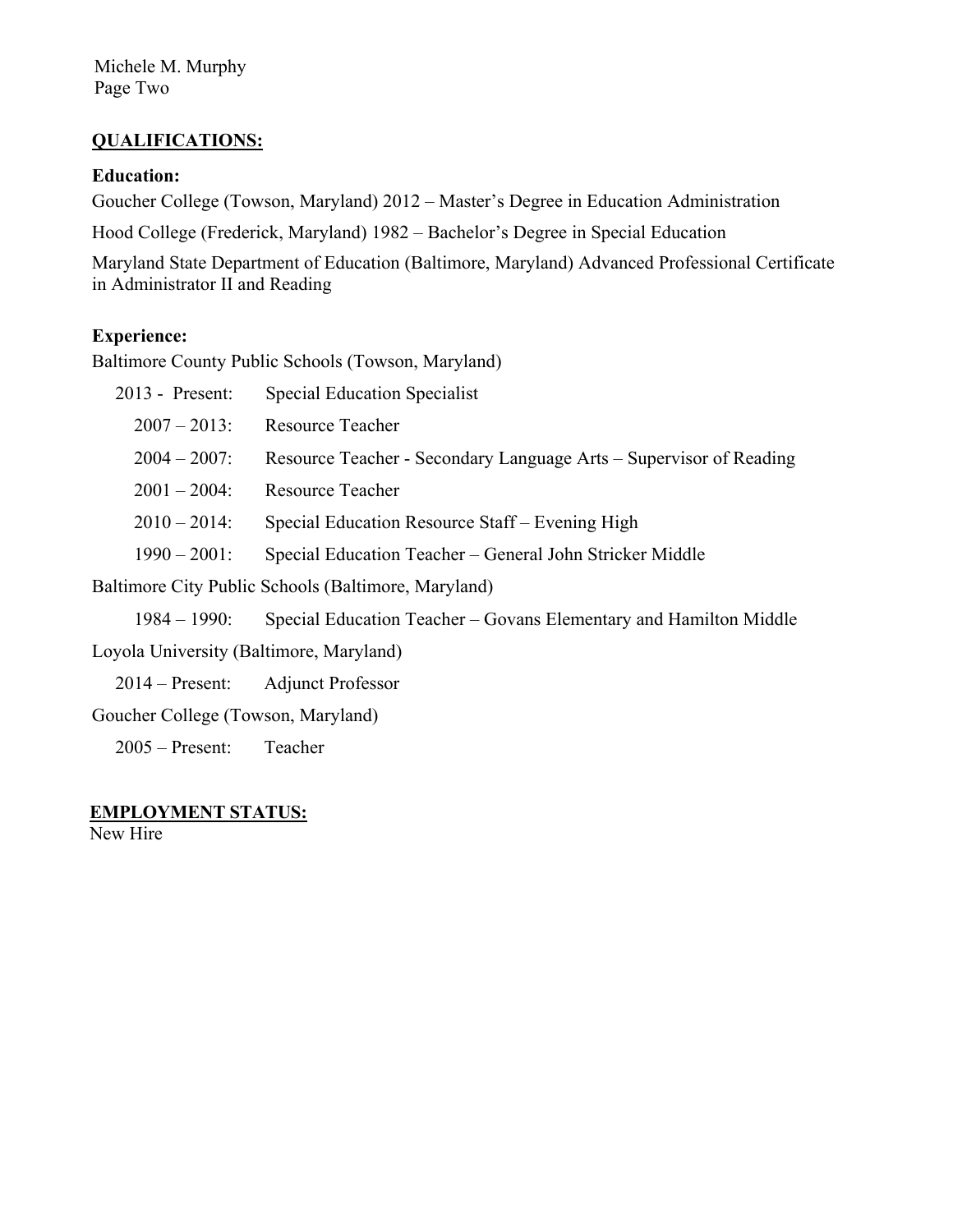Michele M. Murphy Page Two

## **QUALIFICATIONS:**

#### **Education:**

Goucher College (Towson, Maryland) 2012 – Master's Degree in Education Administration

Hood College (Frederick, Maryland) 1982 – Bachelor's Degree in Special Education

Maryland State Department of Education (Baltimore, Maryland) Advanced Professional Certificate in Administrator II and Reading

#### **Experience:**

Baltimore County Public Schools (Towson, Maryland)

| 2013 - Present:                                     | Special Education Specialist                                       |
|-----------------------------------------------------|--------------------------------------------------------------------|
| $2007 - 2013$ :                                     | <b>Resource Teacher</b>                                            |
| $2004 - 2007$ :                                     | Resource Teacher - Secondary Language Arts – Supervisor of Reading |
| $2001 - 2004$ :                                     | Resource Teacher                                                   |
| $2010 - 2014$ :                                     | Special Education Resource Staff – Evening High                    |
| $1990 - 2001$ :                                     | Special Education Teacher – General John Stricker Middle           |
| Baltimore City Public Schools (Baltimore, Maryland) |                                                                    |
|                                                     |                                                                    |

1984 – 1990: Special Education Teacher – Govans Elementary and Hamilton Middle

Loyola University (Baltimore, Maryland)

2014 – Present: Adjunct Professor

Goucher College (Towson, Maryland)

2005 – Present: Teacher

#### **EMPLOYMENT STATUS:**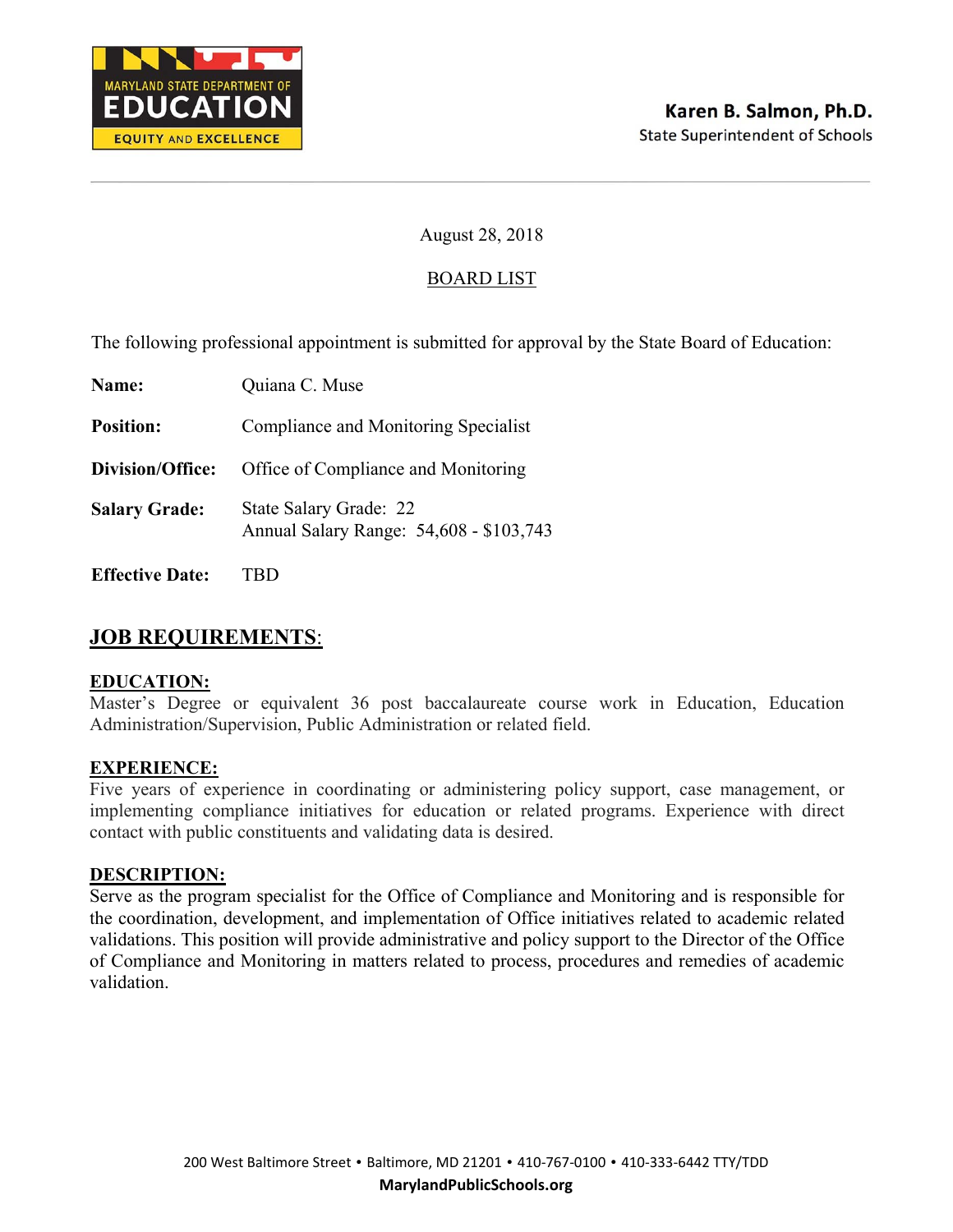

## BOARD LIST

The following professional appointment is submitted for approval by the State Board of Education:

| Name:                  | Quiana C. Muse                                                    |
|------------------------|-------------------------------------------------------------------|
| <b>Position:</b>       | Compliance and Monitoring Specialist                              |
| Division/Office:       | Office of Compliance and Monitoring                               |
| <b>Salary Grade:</b>   | State Salary Grade: 22<br>Annual Salary Range: 54,608 - \$103,743 |
| <b>Effective Date:</b> |                                                                   |

# **JOB REQUIREMENTS**:

#### **EDUCATION:**

Master's Degree or equivalent 36 post baccalaureate course work in Education, Education Administration/Supervision, Public Administration or related field.

#### **EXPERIENCE:**

Five years of experience in coordinating or administering policy support, case management, or implementing compliance initiatives for education or related programs. Experience with direct contact with public constituents and validating data is desired.

#### **DESCRIPTION:**

Serve as the program specialist for the Office of Compliance and Monitoring and is responsible for the coordination, development, and implementation of Office initiatives related to academic related validations. This position will provide administrative and policy support to the Director of the Office of Compliance and Monitoring in matters related to process, procedures and remedies of academic validation.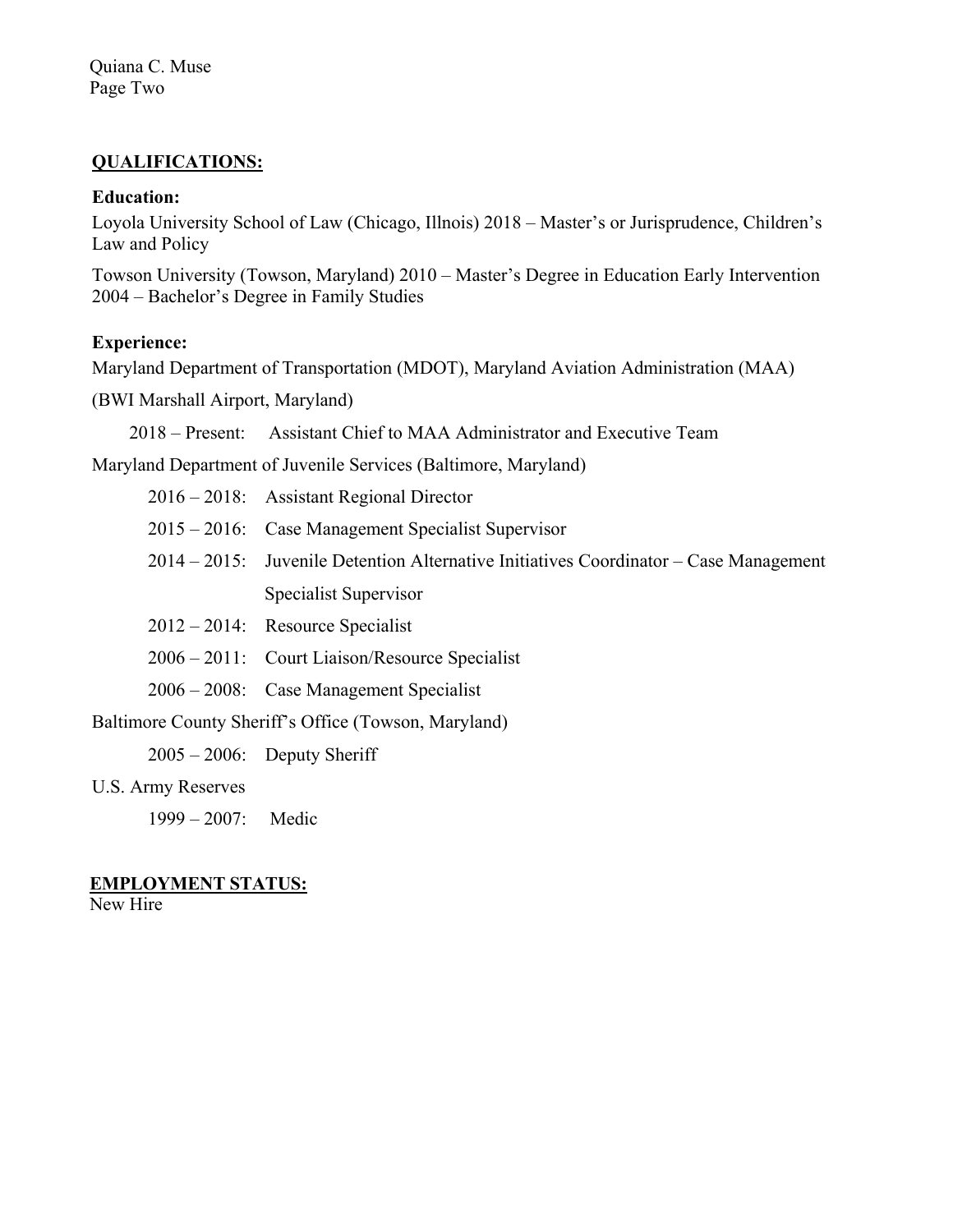## **QUALIFICATIONS:**

#### **Education:**

Loyola University School of Law (Chicago, Illnois) 2018 – Master's or Jurisprudence, Children's Law and Policy

Towson University (Towson, Maryland) 2010 – Master's Degree in Education Early Intervention 2004 – Bachelor's Degree in Family Studies

## **Experience:**

Maryland Department of Transportation (MDOT), Maryland Aviation Administration (MAA)

(BWI Marshall Airport, Maryland)

2018 – Present: Assistant Chief to MAA Administrator and Executive Team

Maryland Department of Juvenile Services (Baltimore, Maryland)

- 2015 2016: Case Management Specialist Supervisor
- 2014 2015: Juvenile Detention Alternative Initiatives Coordinator Case Management Specialist Supervisor
- 2012 2014: Resource Specialist
- 2006 2011: Court Liaison/Resource Specialist
- 2006 2008: Case Management Specialist

Baltimore County Sheriff's Office (Towson, Maryland)

 $2005 - 2006$ : Deputy Sheriff

U.S. Army Reserves

1999 – 2007: Medic

#### **EMPLOYMENT STATUS:**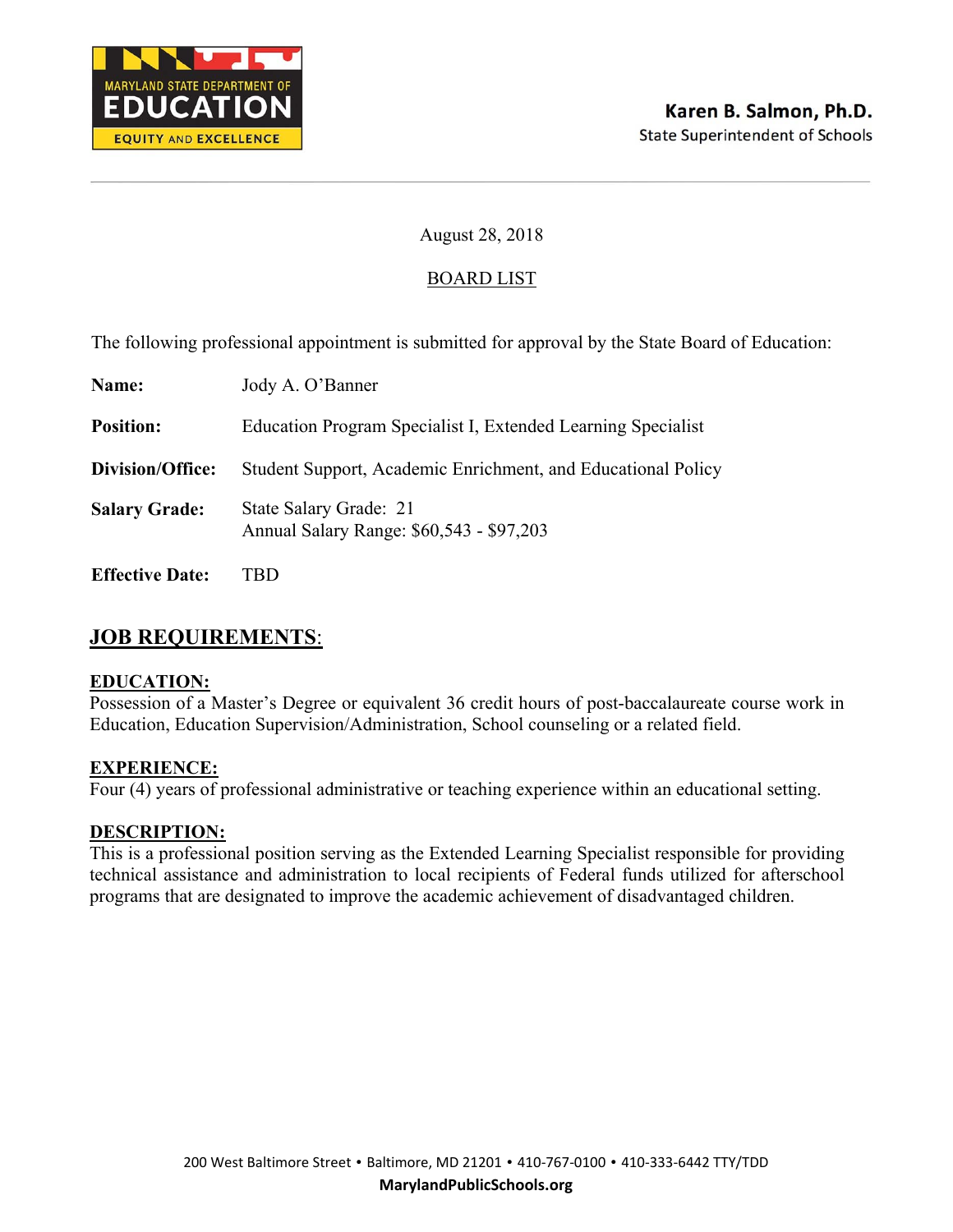

## BOARD LIST

The following professional appointment is submitted for approval by the State Board of Education:

| Name:                  | Jody A. O'Banner                                                   |
|------------------------|--------------------------------------------------------------------|
| <b>Position:</b>       | Education Program Specialist I, Extended Learning Specialist       |
| Division/Office:       | Student Support, Academic Enrichment, and Educational Policy       |
| <b>Salary Grade:</b>   | State Salary Grade: 21<br>Annual Salary Range: \$60,543 - \$97,203 |
| <b>Effective Date:</b> | TBD                                                                |

# **JOB REQUIREMENTS**:

#### **EDUCATION:**

Possession of a Master's Degree or equivalent 36 credit hours of post-baccalaureate course work in Education, Education Supervision/Administration, School counseling or a related field.

#### **EXPERIENCE:**

Four (4) years of professional administrative or teaching experience within an educational setting.

#### **DESCRIPTION:**

This is a professional position serving as the Extended Learning Specialist responsible for providing technical assistance and administration to local recipients of Federal funds utilized for afterschool programs that are designated to improve the academic achievement of disadvantaged children.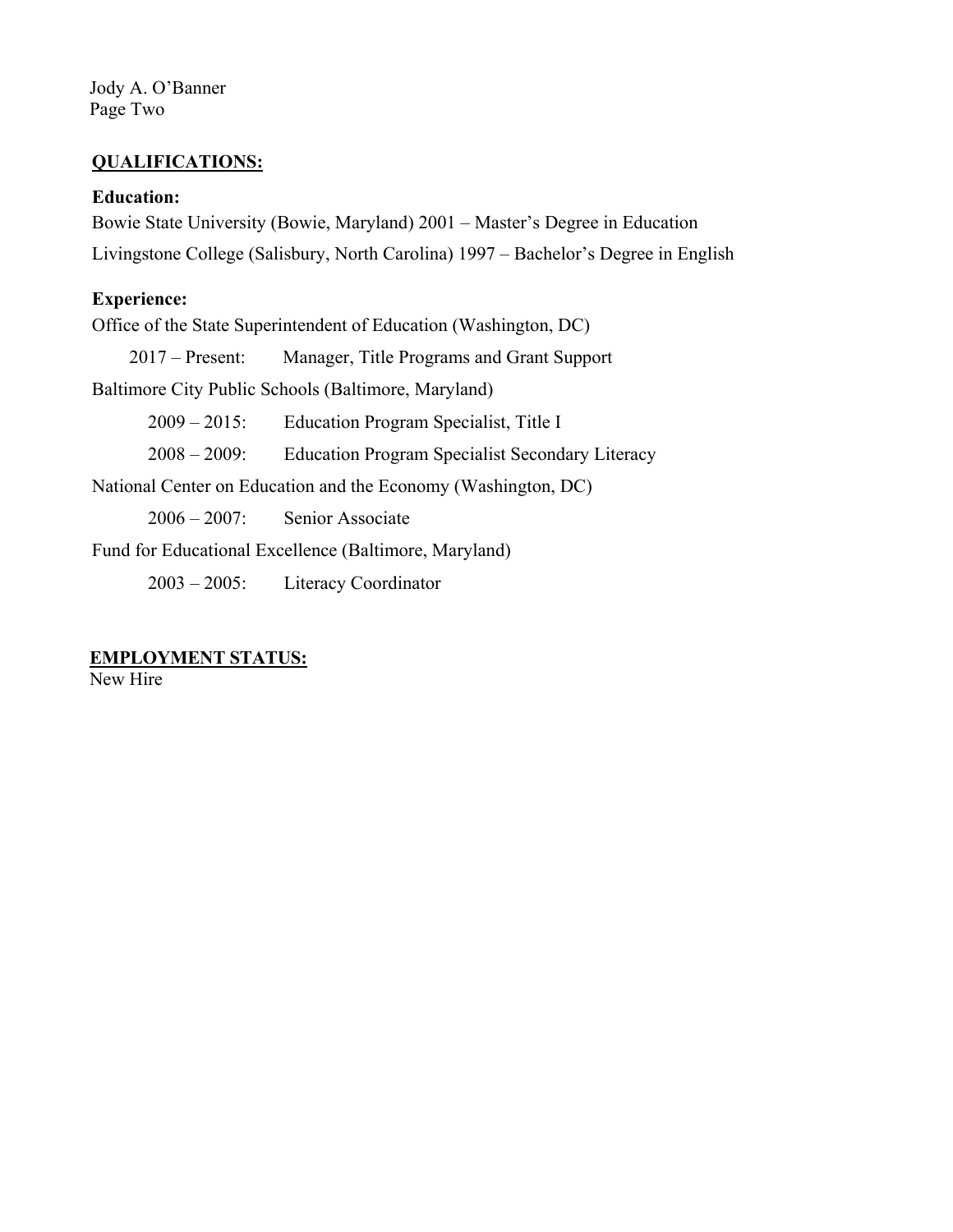Jody A. O'Banner Page Two

#### **QUALIFICATIONS:**

#### **Education:**

Bowie State University (Bowie, Maryland) 2001 – Master's Degree in Education Livingstone College (Salisbury, North Carolina) 1997 – Bachelor's Degree in English

## **Experience:**

Office of the State Superintendent of Education (Washington, DC)

2017 – Present: Manager, Title Programs and Grant Support

Baltimore City Public Schools (Baltimore, Maryland)

2009 – 2015: Education Program Specialist, Title I

2008 – 2009: Education Program Specialist Secondary Literacy

National Center on Education and the Economy (Washington, DC)

2006 – 2007: Senior Associate

Fund for Educational Excellence (Baltimore, Maryland)

2003 – 2005: Literacy Coordinator

#### **EMPLOYMENT STATUS:**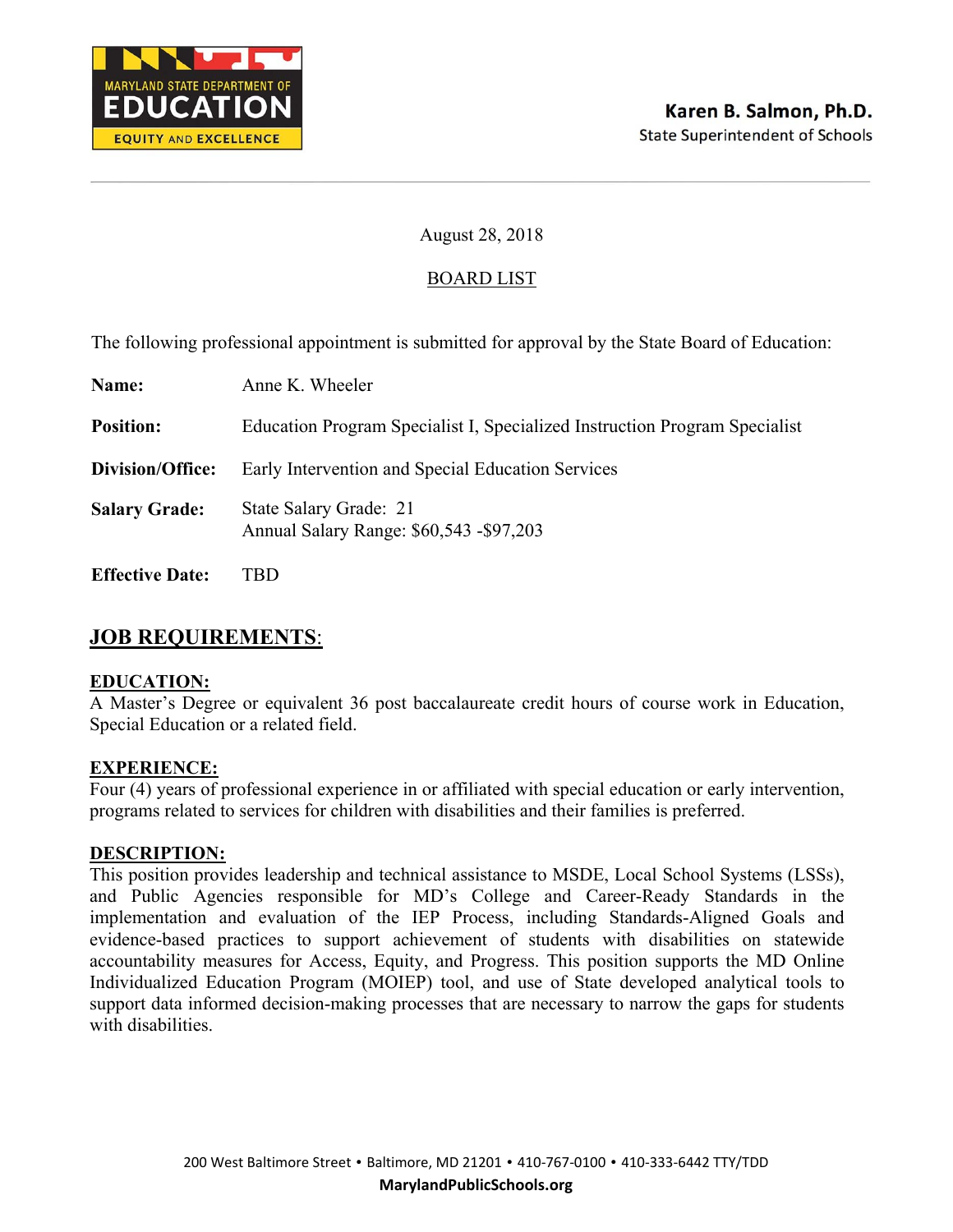

## BOARD LIST

The following professional appointment is submitted for approval by the State Board of Education:

| Name:                  | Anne K. Wheeler                                                            |
|------------------------|----------------------------------------------------------------------------|
| <b>Position:</b>       | Education Program Specialist I, Specialized Instruction Program Specialist |
| Division/Office:       | Early Intervention and Special Education Services                          |
| <b>Salary Grade:</b>   | State Salary Grade: 21<br>Annual Salary Range: \$60,543 - \$97,203         |
| <b>Effective Date:</b> | TBD                                                                        |

# **JOB REQUIREMENTS**:

#### **EDUCATION:**

A Master's Degree or equivalent 36 post baccalaureate credit hours of course work in Education, Special Education or a related field.

#### **EXPERIENCE:**

Four (4) years of professional experience in or affiliated with special education or early intervention, programs related to services for children with disabilities and their families is preferred.

#### **DESCRIPTION:**

This position provides leadership and technical assistance to MSDE, Local School Systems (LSSs), and Public Agencies responsible for MD's College and Career-Ready Standards in the implementation and evaluation of the IEP Process, including Standards-Aligned Goals and evidence-based practices to support achievement of students with disabilities on statewide accountability measures for Access, Equity, and Progress. This position supports the MD Online Individualized Education Program (MOIEP) tool, and use of State developed analytical tools to support data informed decision-making processes that are necessary to narrow the gaps for students with disabilities.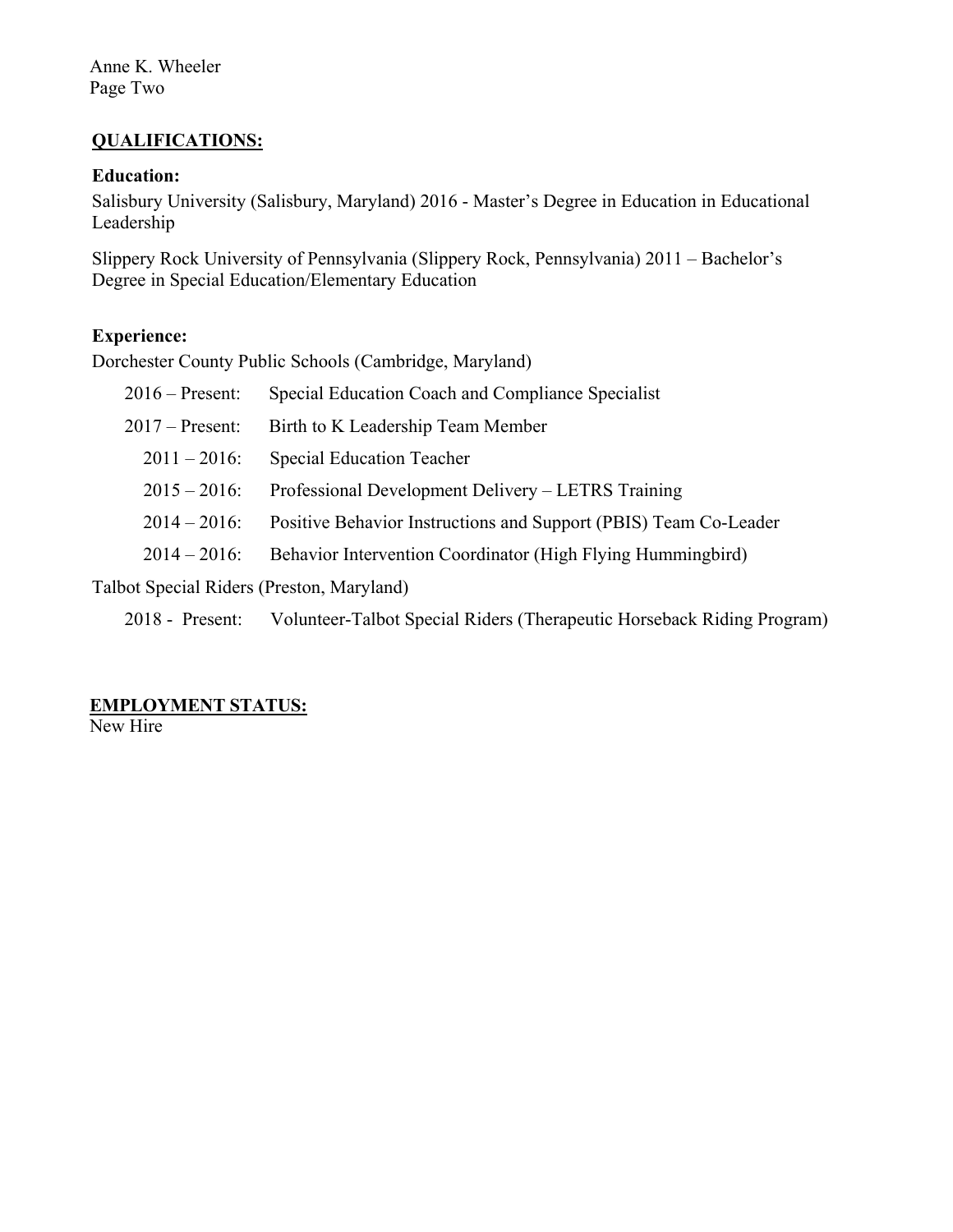Anne K. Wheeler Page Two

## **QUALIFICATIONS:**

## **Education:**

Salisbury University (Salisbury, Maryland) 2016 - Master's Degree in Education in Educational Leadership

Slippery Rock University of Pennsylvania (Slippery Rock, Pennsylvania) 2011 – Bachelor's Degree in Special Education/Elementary Education

## **Experience:**

Dorchester County Public Schools (Cambridge, Maryland)

| $2016$ – Present:                                                | Special Education Coach and Compliance Specialist                |  |
|------------------------------------------------------------------|------------------------------------------------------------------|--|
| $2017$ – Present:                                                | Birth to K Leadership Team Member                                |  |
| $2011 - 2016$ :                                                  | <b>Special Education Teacher</b>                                 |  |
| $2015 - 2016$ :                                                  | Professional Development Delivery – LETRS Training               |  |
| $2014 - 2016$ :                                                  | Positive Behavior Instructions and Support (PBIS) Team Co-Leader |  |
| $2014 - 2016$ :                                                  | Behavior Intervention Coordinator (High Flying Hummingbird)      |  |
| $T_2$ llet $\Omega_{\text{res}}$ ial D. Jane (Dusstan Mauriland) |                                                                  |  |

Talbot Special Riders (Preston, Maryland)

2018 - Present: Volunteer-Talbot Special Riders (Therapeutic Horseback Riding Program)

# **EMPLOYMENT STATUS:**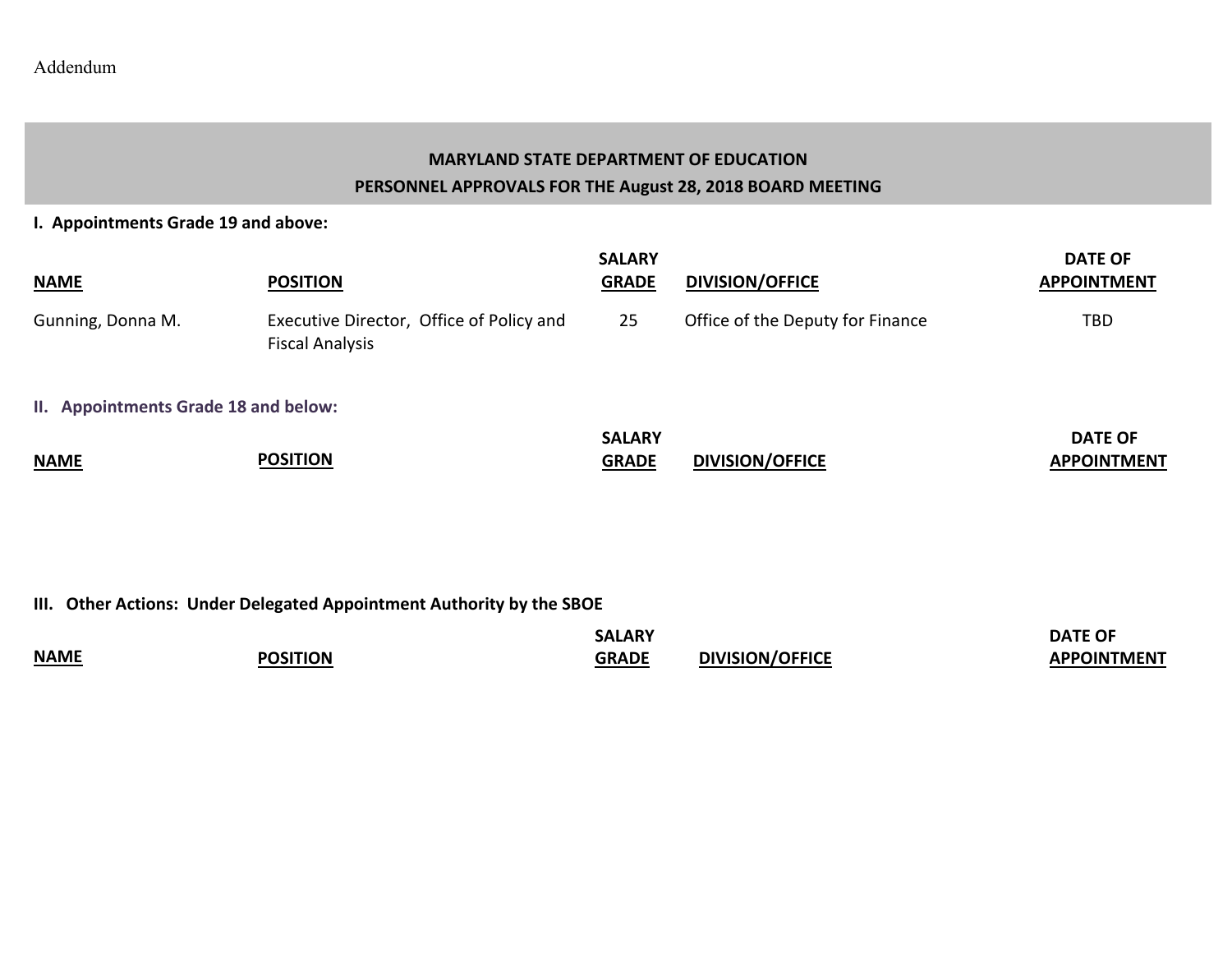## **MARYLAND STATE DEPARTMENT OF EDUCATION PERSONNEL APPROVALS FOR THE August 28, 2018 BOARD MEETING**

**I. Appointments Grade 19 and above:**

| <b>NAME</b>                          | <b>POSITION</b>                                                    | <b>SALARY</b><br><b>GRADE</b> | <b>DIVISION/OFFICE</b>           | <b>DATE OF</b><br><b>APPOINTMENT</b> |
|--------------------------------------|--------------------------------------------------------------------|-------------------------------|----------------------------------|--------------------------------------|
| Gunning, Donna M.                    | Executive Director, Office of Policy and<br><b>Fiscal Analysis</b> | 25                            | Office of the Deputy for Finance | <b>TBD</b>                           |
| II. Appointments Grade 18 and below: |                                                                    |                               |                                  |                                      |
| <b>NAME</b>                          | <b>POSITION</b>                                                    | <b>SALARY</b><br><b>GRADE</b> | <b>DIVISION/OFFICE</b>           | <b>DATE OF</b><br><b>APPOINTMENT</b> |

**III. Other Actions: Under Delegated Appointment Authority by the SBOE**

|             |                 | LARY<br>٠Д   |                        | <b>DATE OF</b>     |
|-------------|-----------------|--------------|------------------------|--------------------|
| <b>NAME</b> | <b>POSITION</b> | <b>GRADE</b> | <b>DIVISION/OFFICE</b> | <b>APPOINTMENT</b> |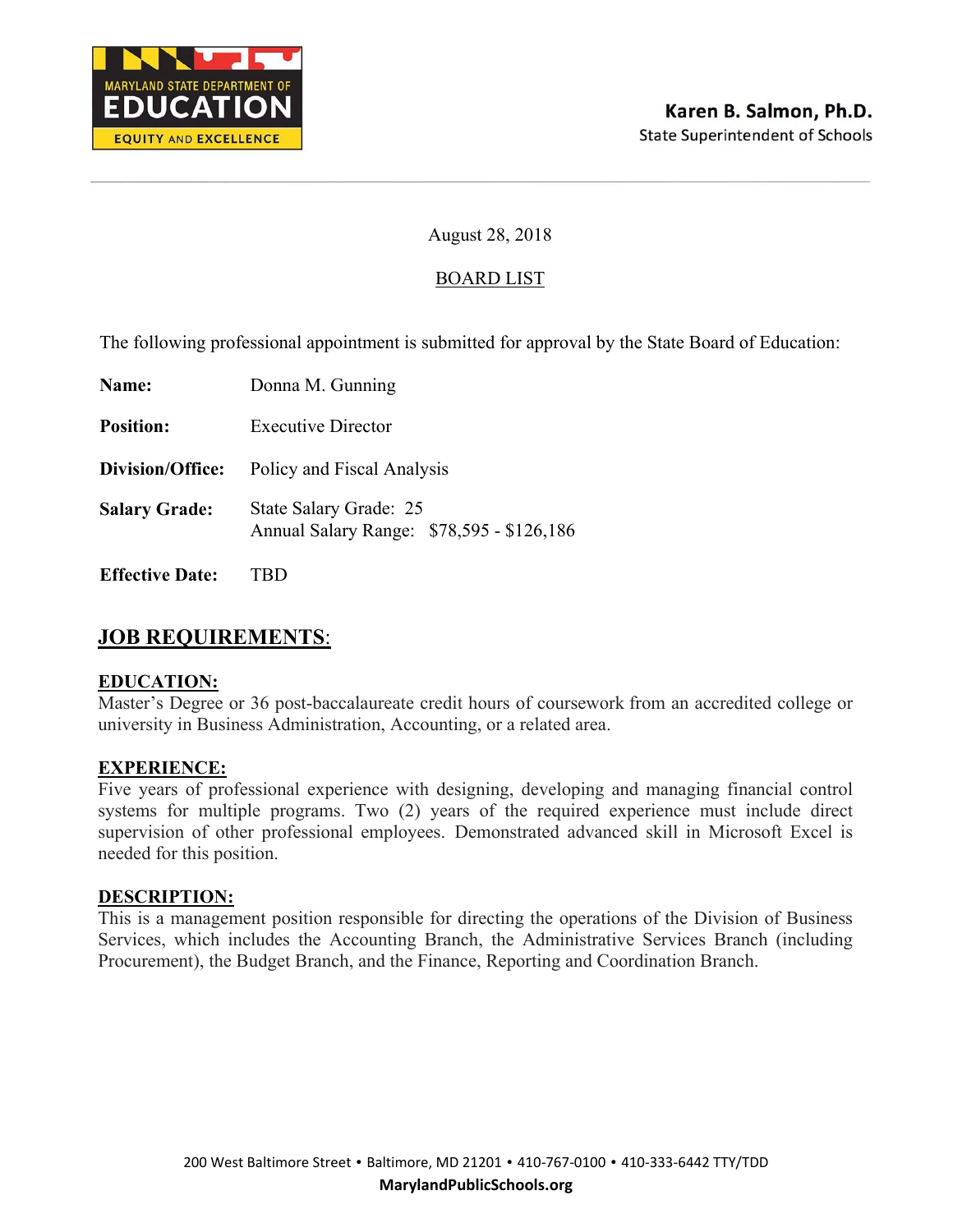

#### BOARD LIST

The following professional appointment is submitted for approval by the State Board of Education:

| Name:                  | Donna M. Gunning                                                    |  |
|------------------------|---------------------------------------------------------------------|--|
| <b>Position:</b>       | <b>Executive Director</b>                                           |  |
| Division/Office:       | Policy and Fiscal Analysis                                          |  |
| <b>Salary Grade:</b>   | State Salary Grade: 25<br>Annual Salary Range: \$78,595 - \$126,186 |  |
| <b>Effective Date:</b> |                                                                     |  |

## **JOB REQUIREMENTS**:

#### **EDUCATION:**

Master's Degree or 36 post-baccalaureate credit hours of coursework from an accredited college or university in Business Administration, Accounting, or a related area.

#### **EXPERIENCE:**

Five years of professional experience with designing, developing and managing financial control systems for multiple programs. Two (2) years of the required experience must include direct supervision of other professional employees. Demonstrated advanced skill in Microsoft Excel is needed for this position.

#### **DESCRIPTION:**

This is a management position responsible for directing the operations of the Division of Business Services, which includes the Accounting Branch, the Administrative Services Branch (including Procurement), the Budget Branch, and the Finance, Reporting and Coordination Branch.